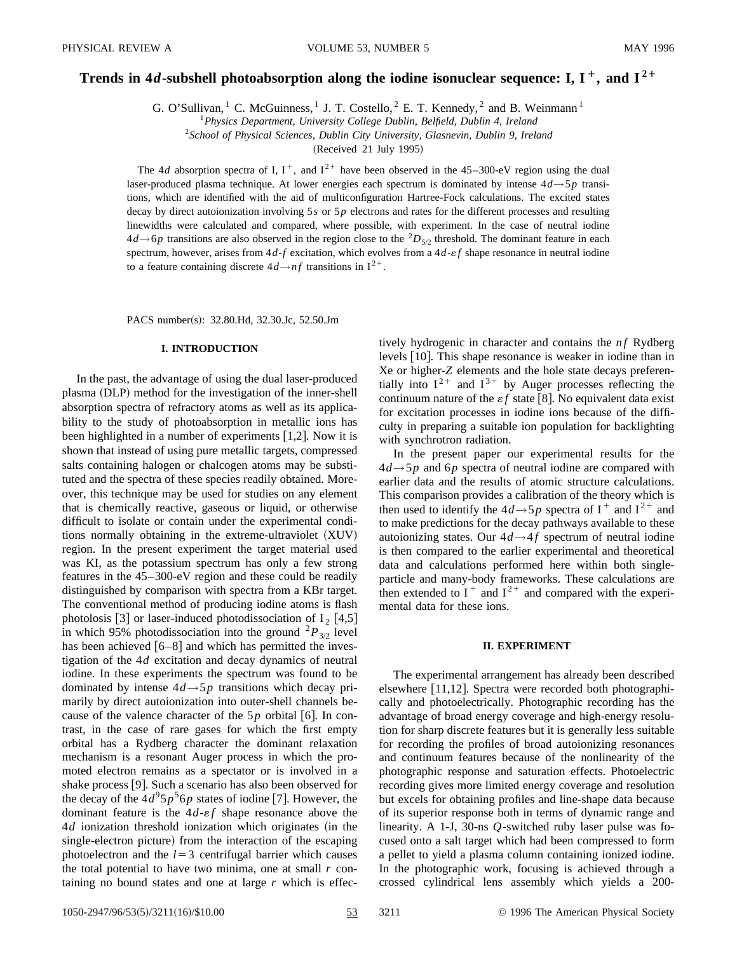# Trends in 4*d*-subshell photoabsorption along the iodine isonuclear sequence: I, I<sup>+</sup>, and I<sup>2+</sup>

G. O'Sullivan, <sup>1</sup> C. McGuinness, <sup>1</sup> J. T. Costello, <sup>2</sup> E. T. Kennedy, <sup>2</sup> and B. Weinmann <sup>1</sup>

<sup>1</sup>*Physics Department, University College Dublin, Belfield, Dublin 4, Ireland*

<sup>2</sup>*School of Physical Sciences, Dublin City University, Glasnevin, Dublin 9, Ireland*

 $(Received 21 July 1995)$ 

The 4*d* absorption spectra of I,  $I^+$ , and  $I^{2+}$  have been observed in the 45–300-eV region using the dual laser-produced plasma technique. At lower energies each spectrum is dominated by intense 4*d*→5*p* transitions, which are identified with the aid of multiconfiguration Hartree-Fock calculations. The excited states decay by direct autoionization involving 5*s* or 5*p* electrons and rates for the different processes and resulting linewidths were calculated and compared, where possible, with experiment. In the case of neutral iodine  $4d \rightarrow 6p$  transitions are also observed in the region close to the <sup>2</sup>D<sub>5/2</sub> threshold. The dominant feature in each spectrum, however, arises from  $4d$ - $f$  excitation, which evolves from a  $4d$ - $ef$  shape resonance in neutral iodine to a feature containing discrete  $4d \rightarrow nf$  transitions in  $I^{2+}$ .

PACS number(s): 32.80.Hd, 32.30.Jc, 52.50.Jm

## **I. INTRODUCTION**

In the past, the advantage of using the dual laser-produced plasma (DLP) method for the investigation of the inner-shell absorption spectra of refractory atoms as well as its applicability to the study of photoabsorption in metallic ions has been highlighted in a number of experiments  $[1,2]$ . Now it is shown that instead of using pure metallic targets, compressed salts containing halogen or chalcogen atoms may be substituted and the spectra of these species readily obtained. Moreover, this technique may be used for studies on any element that is chemically reactive, gaseous or liquid, or otherwise difficult to isolate or contain under the experimental conditions normally obtaining in the extreme-ultraviolet  $(XUV)$ region. In the present experiment the target material used was KI, as the potassium spectrum has only a few strong features in the 45–300-eV region and these could be readily distinguished by comparison with spectra from a KBr target. The conventional method of producing iodine atoms is flash photolosis  $\lceil 3 \rceil$  or laser-induced photodissociation of  $I_2$   $\lceil 4, 5 \rceil$ in which 95% photodissociation into the ground  ${}^{2}P_{3/2}$  level has been achieved  $[6-8]$  and which has permitted the investigation of the 4*d* excitation and decay dynamics of neutral iodine. In these experiments the spectrum was found to be dominated by intense 4*d*→5*p* transitions which decay primarily by direct autoionization into outer-shell channels because of the valence character of the  $5p$  orbital [6]. In contrast, in the case of rare gases for which the first empty orbital has a Rydberg character the dominant relaxation mechanism is a resonant Auger process in which the promoted electron remains as a spectator or is involved in a shake process  $[9]$ . Such a scenario has also been observed for the decay of the  $4d^95p^56p$  states of iodine [7]. However, the dominant feature is the  $4d$ - $\varepsilon f$  shape resonance above the 4*d* ionization threshold ionization which originates (in the single-electron picture) from the interaction of the escaping photoelectron and the  $l=3$  centrifugal barrier which causes the total potential to have two minima, one at small *r* containing no bound states and one at large *r* which is effectively hydrogenic in character and contains the *nf* Rydberg levels [10]. This shape resonance is weaker in iodine than in Xe or higher-*Z* elements and the hole state decays preferentially into  $I^{2+}$  and  $I^{3+}$  by Auger processes reflecting the continuum nature of the  $\varepsilon f$  state [8]. No equivalent data exist for excitation processes in iodine ions because of the difficulty in preparing a suitable ion population for backlighting with synchrotron radiation.

In the present paper our experimental results for the  $4d \rightarrow 5p$  and 6*p* spectra of neutral iodine are compared with earlier data and the results of atomic structure calculations. This comparison provides a calibration of the theory which is then used to identify the  $4d \rightarrow 5p$  spectra of I<sup>+</sup> and I<sup>2+</sup> and to make predictions for the decay pathways available to these autoionizing states. Our  $4d \rightarrow 4f$  spectrum of neutral iodine is then compared to the earlier experimental and theoretical data and calculations performed here within both singleparticle and many-body frameworks. These calculations are then extended to  $I^+$  and  $I^{2+}$  and compared with the experimental data for these ions.

## **II. EXPERIMENT**

The experimental arrangement has already been described elsewhere  $[11,12]$ . Spectra were recorded both photographically and photoelectrically. Photographic recording has the advantage of broad energy coverage and high-energy resolution for sharp discrete features but it is generally less suitable for recording the profiles of broad autoionizing resonances and continuum features because of the nonlinearity of the photographic response and saturation effects. Photoelectric recording gives more limited energy coverage and resolution but excels for obtaining profiles and line-shape data because of its superior response both in terms of dynamic range and linearity. A 1-J, 30-ns *Q*-switched ruby laser pulse was focused onto a salt target which had been compressed to form a pellet to yield a plasma column containing ionized iodine. In the photographic work, focusing is achieved through a crossed cylindrical lens assembly which yields a 200-

1050-2947/96/53(5)/3211(16)/\$10.00 53 3211 © 1996 The American Physical Society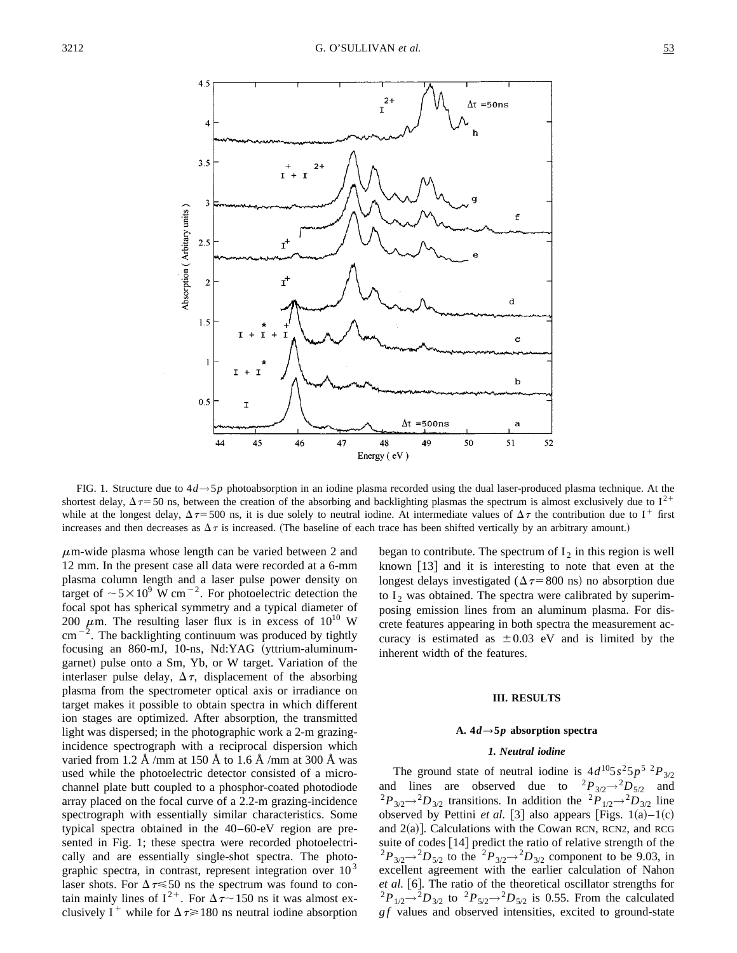

FIG. 1. Structure due to 4*d*→5*p* photoabsorption in an iodine plasma recorded using the dual laser-produced plasma technique. At the shortest delay,  $\Delta \tau$  = 50 ns, between the creation of the absorbing and backlighting plasmas the spectrum is almost exclusively due to I<sup>2+</sup> while at the longest delay,  $\Delta \tau = 500$  ns, it is due solely to neutral iodine. At intermediate values of  $\Delta \tau$  the contribution due to I<sup>+</sup> first increases and then decreases as  $\Delta \tau$  is increased. (The baseline of each trace has been shifted vertically by an arbitrary amount.)

 $\mu$ m-wide plasma whose length can be varied between 2 and 12 mm. In the present case all data were recorded at a 6-mm plasma column length and a laser pulse power density on target of  $\sim 5 \times 10^9$  W cm<sup>-2</sup>. For photoelectric detection the focal spot has spherical symmetry and a typical diameter of 200  $\mu$ m. The resulting laser flux is in excess of 10<sup>10</sup> W  $cm^{-2}$ . The backlighting continuum was produced by tightly focusing an 860-mJ, 10-ns, Nd:YAG (yttrium-aluminumgarnet) pulse onto a Sm, Yb, or W target. Variation of the interlaser pulse delay,  $\Delta \tau$ , displacement of the absorbing plasma from the spectrometer optical axis or irradiance on target makes it possible to obtain spectra in which different ion stages are optimized. After absorption, the transmitted light was dispersed; in the photographic work a 2-m grazingincidence spectrograph with a reciprocal dispersion which varied from 1.2 Å /mm at 150 Å to 1.6 Å /mm at 300 Å was used while the photoelectric detector consisted of a microchannel plate butt coupled to a phosphor-coated photodiode array placed on the focal curve of a 2.2-m grazing-incidence spectrograph with essentially similar characteristics. Some typical spectra obtained in the 40–60-eV region are presented in Fig. 1; these spectra were recorded photoelectrically and are essentially single-shot spectra. The photographic spectra, in contrast, represent integration over  $10<sup>3</sup>$ laser shots. For  $\Delta \tau \leq 50$  ns the spectrum was found to contain mainly lines of  $I^{2+}$ . For  $\Delta \tau$  150 ns it was almost exclusively I<sup>+</sup> while for  $\Delta \tau \ge 180$  ns neutral iodine absorption began to contribute. The spectrum of  $I_2$  in this region is well known  $[13]$  and it is interesting to note that even at the longest delays investigated ( $\Delta \tau$ =800 ns) no absorption due to  $I_2$  was obtained. The spectra were calibrated by superimposing emission lines from an aluminum plasma. For discrete features appearing in both spectra the measurement accuracy is estimated as  $\pm 0.03$  eV and is limited by the inherent width of the features.

#### **III. RESULTS**

#### A.  $4d \rightarrow 5p$  absorption spectra

## *1. Neutral iodine*

The ground state of neutral iodine is  $4d^{10}5s^25p^{5}p^{2}P_{3/2}$ and lines are observed due to  ${}^{2}P_{3/2} \rightarrow {}^{2}D_{5/2}$  and  ${}^{2}P_{3/2} \rightarrow {}^{2}D_{3/2}$  transitions. In addition the  ${}^{2}P_{1/2} \rightarrow {}^{2}D_{3/2}$  line observed by Pettini *et al.* [3] also appears [Figs.  $1(a)-1(c)$ and  $2(a)$ ]. Calculations with the Cowan RCN, RCN2, and RCG suite of codes  $[14]$  predict the ratio of relative strength of the  $^{2}P_{3/2} \rightarrow ^{2}D_{5/2}$  to the  $^{2}P_{3/2} \rightarrow ^{2}D_{3/2}$  component to be 9.03, in excellent agreement with the earlier calculation of Nahon et al. [6]. The ratio of the theoretical oscillator strengths for  $^{2}P_{1/2}$  $^{2}P_{3/2}$  to  $^{2}P_{5/2}$  $^{2}D_{5/2}$  is 0.55. From the calculated *g f* values and observed intensities, excited to ground-state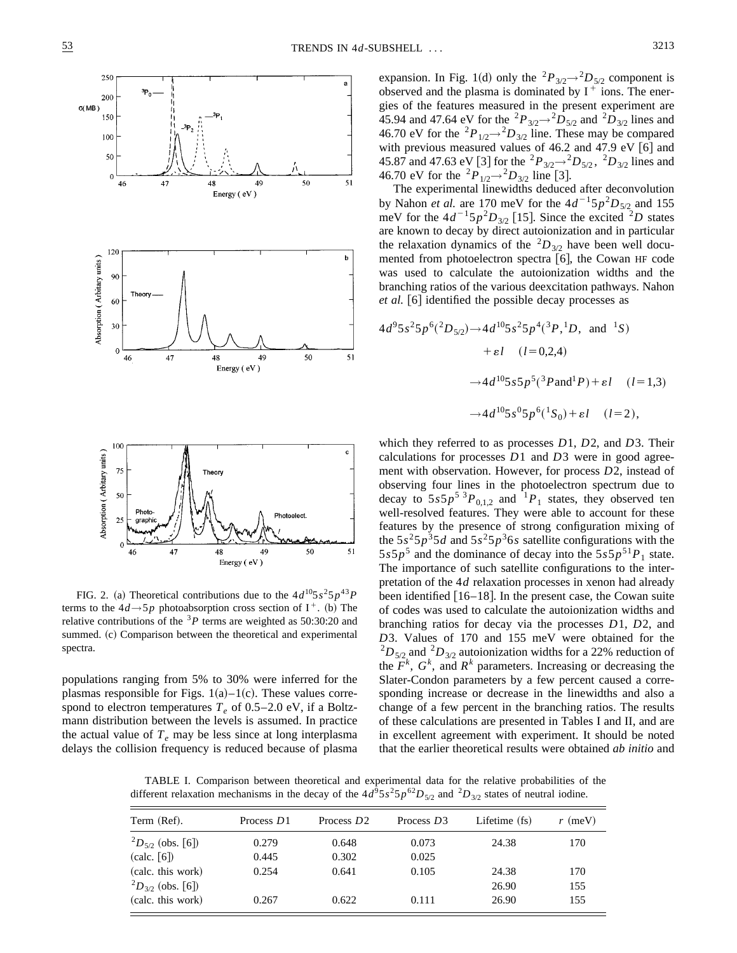

FIG. 2. (a) Theoretical contributions due to the  $4d^{10}5s^25p^{43}P$ terms to the  $4d \rightarrow 5p$  photoabsorption cross section of I<sup>+</sup>. (b) The relative contributions of the  ${}^{3}P$  terms are weighted as 50:30:20 and summed. (c) Comparison between the theoretical and experimental spectra.

populations ranging from 5% to 30% were inferred for the plasmas responsible for Figs.  $1(a)$ – $1(c)$ . These values correspond to electron temperatures  $T_e$  of 0.5–2.0 eV, if a Boltzmann distribution between the levels is assumed. In practice the actual value of  $T_e$  may be less since at long interplasma delays the collision frequency is reduced because of plasma expansion. In Fig. 1(d) only the <sup>2</sup> $P_{3/2}$  $\rightarrow$ <sup>2</sup> $D_{5/2}$  component is observed and the plasma is dominated by  $I^+$  ions. The energies of the features measured in the present experiment are 45.94 and 47.64 eV for the <sup>2</sup> $P_{3/2}$   $\rightarrow$  <sup>2</sup> $D_{5/2}$  and <sup>2</sup> $D_{3/2}$  lines and 46.70 eV for the <sup>2</sup> $P_{1/2}$  $\rightarrow$ <sup>2</sup> $D_{3/2}$  line. These may be compared with previous measured values of  $46.2$  and  $47.9$  eV  $[6]$  and 45.87 and 47.63 eV [3] for the <sup>2</sup> $P_{3/2}$   $\rightarrow$  <sup>2</sup> $D_{5/2}$ , <sup>2</sup> $D_{3/2}$  lines and 46.70 eV for the  ${}^{2}P_{1/2} {\rightarrow} {}^{2}D_{3/2}$  line [3].

The experimental linewidths deduced after deconvolution by Nahon *et al.* are 170 meV for the  $4d^{-1}5p^2D_{5/2}$  and 155 meV for the  $4d^{-1}5p^2D_{3/2}$  [15]. Since the excited <sup>2</sup>*D* states are known to decay by direct autoionization and in particular the relaxation dynamics of the  ${}^{2}D_{3/2}$  have been well documented from photoelectron spectra  $[6]$ , the Cowan HF code was used to calculate the autoionization widths and the branching ratios of the various deexcitation pathways. Nahon *et al.* [6] identified the possible decay processes as

$$
4d^{9}5s^{2}5p^{6}(^{2}D_{5/2}) \rightarrow 4d^{10}5s^{2}5p^{4}(^{3}P, ^{1}D, \text{ and } ^{1}S)
$$
  
+ $\varepsilon l$   $(l=0,2,4)$   
 $\rightarrow 4d^{10}5s5p^{5}(^{3}P \text{ and} ^{1}P) + \varepsilon l$   $(l=1,3)$   
 $\rightarrow 4d^{10}5s^{0}5p^{6}(^{1}S_{0}) + \varepsilon l$   $(l=2),$ 

which they referred to as processes *D*1, *D*2, and *D*3. Their calculations for processes *D*1 and *D*3 were in good agreement with observation. However, for process *D*2, instead of observing four lines in the photoelectron spectrum due to decay to  $5s5p^5$ <sup>3</sup> $P_{0,1,2}$  and  $\frac{1}{p_1}$  states, they observed ten well-resolved features. They were able to account for these features by the presence of strong configuration mixing of the  $5s^25p^35d$  and  $5s^25p^36s$  satellite configurations with the  $5s5p<sup>5</sup>$  and the dominance of decay into the  $5s5p<sup>51</sup>P<sub>1</sub>$  state. The importance of such satellite configurations to the interpretation of the 4*d* relaxation processes in xenon had already been identified  $[16–18]$ . In the present case, the Cowan suite of codes was used to calculate the autoionization widths and branching ratios for decay via the processes *D*1, *D*2, and *D*3. Values of 170 and 155 meV were obtained for the  ${}^{2}D_{5/2}$  and  ${}^{2}D_{3/2}$  autoionization widths for a 22% reduction of the  $F^k$ ,  $G^k$ , and  $R^k$  parameters. Increasing or decreasing the Slater-Condon parameters by a few percent caused a corresponding increase or decrease in the linewidths and also a change of a few percent in the branching ratios. The results of these calculations are presented in Tables I and II, and are in excellent agreement with experiment. It should be noted that the earlier theoretical results were obtained *ab initio* and

TABLE I. Comparison between theoretical and experimental data for the relative probabilities of the different relaxation mechanisms in the decay of the  $4d^95s^25p^{62}D_{5/2}$  and  ${}^2D_{3/2}$  states of neutral iodine.

| Term (Ref).                                | Process D1 | Process $D2$ | Process D3 | Lifetime (fs) | $r$ (meV) |
|--------------------------------------------|------------|--------------|------------|---------------|-----------|
| ${}^{2}D_{5/2}$ (obs. [6])                 | 0.279      | 0.648        | 0.073      | 24.38         | 170       |
| $\left(\text{calc.} \left[6\right]\right)$ | 0.445      | 0.302        | 0.025      |               |           |
| (calc. this work)                          | 0.254      | 0.641        | 0.105      | 24.38         | 170       |
| ${}^{2}D_{3/2}$ (obs. [6])                 |            |              |            | 26.90         | 155       |
| (calc. this work)                          | 0.267      | 0.622        | 0.111      | 26.90         | 155       |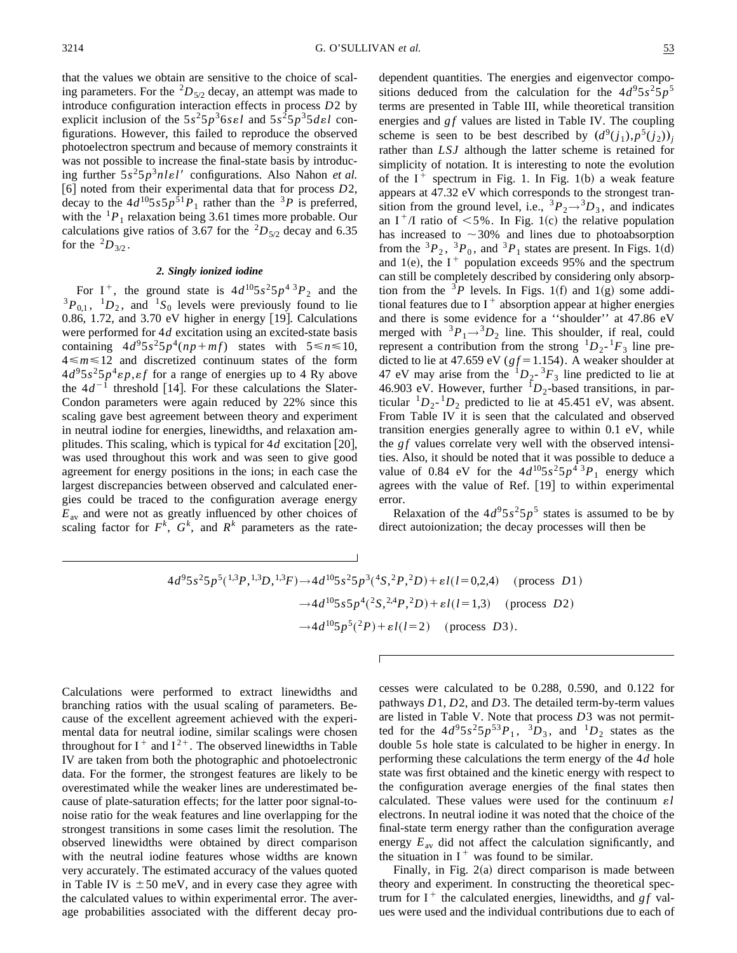that the values we obtain are sensitive to the choice of scaling parameters. For the  ${}^{2}D_{5/2}$  decay, an attempt was made to introduce configuration interaction effects in process *D*2 by explicit inclusion of the  $5s^25p^36se$ *l* and  $5s^25p^35de$ *l* configurations. However, this failed to reproduce the observed photoelectron spectrum and because of memory constraints it was not possible to increase the final-state basis by introducing further  $5s^25p^3nle'l'$  configurations. Also Nahon *et al.* [6] noted from their experimental data that for process *D2*, decay to the  $4d^{10}5s5p^{\frac{2}{5}1}P_1$  rather than the <sup>3</sup>*P* is preferred, with the  ${}^{1}P_1$  relaxation being 3.61 times more probable. Our calculations give ratios of 3.67 for the  ${}^{2}D_{5/2}$  decay and 6.35 for the  ${}^{2}D_{3/2}$ .

## *2. Singly ionized iodine*

For I<sup>+</sup>, the ground state is  $4d^{10}5s^25p^43P_2$  and the  ${}^{3}P_{0,1}$ ,  ${}^{1}D_2$ , and  ${}^{1}S_0$  levels were previously found to lie 0.86, 1.72, and 3.70 eV higher in energy  $[19]$ . Calculations were performed for 4*d* excitation using an excited-state basis containing  $4d^95s^25p^4(np+mf)$  states with  $5 \le n \le 10$ ,  $4 \le m \le 12$  and discretized continuum states of the form  $4d^95s^25p^4\varepsilon p$ ,  $\varepsilon f$  for a range of energies up to 4 Ry above the  $4d^{-1}$  threshold [14]. For these calculations the Slater-Condon parameters were again reduced by 22% since this scaling gave best agreement between theory and experiment in neutral iodine for energies, linewidths, and relaxation amplitudes. This scaling, which is typical for  $4d$  excitation  $[20]$ , was used throughout this work and was seen to give good agreement for energy positions in the ions; in each case the largest discrepancies between observed and calculated energies could be traced to the configuration average energy *E*av and were not as greatly influenced by other choices of scaling factor for  $F^k$ ,  $G^k$ , and  $R^k$  parameters as the rate-

dependent quantities. The energies and eigenvector compositions deduced from the calculation for the  $4d^95s^25p^5$ terms are presented in Table III, while theoretical transition energies and *gf* values are listed in Table IV. The coupling scheme is seen to be best described by  $(d^9(j_1), p^5(j_2))_i$ rather than *LSJ* although the latter scheme is retained for simplicity of notation. It is interesting to note the evolution of the  $I^+$  spectrum in Fig. 1. In Fig. 1(b) a weak feature appears at 47.32 eV which corresponds to the strongest transition from the ground level, i.e.,  ${}^3P_2 \rightarrow {}^3D_3$ , and indicates an  $I^+$  atio of  $\leq 5\%$ . In Fig. 1(c) the relative population has increased to  $\sim$ 30% and lines due to photoabsorption from the  ${}^{3}P_2$ ,  ${}^{3}P_0$ , and  ${}^{3}P_1$  states are present. In Figs. 1(d) and 1(e), the I<sup>+</sup> population exceeds 95% and the spectrum can still be completely described by considering only absorption from the <sup>3</sup>P levels. In Figs. 1(f) and 1(g) some additional features due to  $I^+$  absorption appear at higher energies and there is some evidence for a ''shoulder'' at 47.86 eV merged with  ${}^{3}P_{1} \rightarrow {}^{3}D_{2}$  line. This shoulder, if real, could represent a contribution from the strong  ${}^{1}D_{2}$ - ${}^{1}F_{3}$  line predicted to lie at 47.659 eV ( $gf = 1.154$ ). A weaker shoulder at 47 eV may arise from the  $1D_2 - 3F_3$  line predicted to lie at 46.903 eV. However, further  ${}^{1}D_2$ -based transitions, in particular  ${}^{1}D_{2}$ - ${}^{1}D_{2}$  predicted to lie at 45.451 eV, was absent. From Table IV it is seen that the calculated and observed transition energies generally agree to within 0.1 eV, while the *gf* values correlate very well with the observed intensities. Also, it should be noted that it was possible to deduce a value of 0.84 eV for the  $4d^{10}5s^25p^4$   $^3P_1$  energy which agrees with the value of Ref.  $[19]$  to within experimental error.

Relaxation of the  $4d^95s^25p^5$  states is assumed to be by direct autoionization; the decay processes will then be

$$
4d^{9}5s^{2}5p^{5}(^{1,3}P, ^{1,3}D, ^{1,3}F) \rightarrow 4d^{10}5s^{2}5p^{3}(^{4}S, ^{2}P, ^{2}D) + \varepsilon l(l=0,2,4)
$$
 (process D1)  

$$
\rightarrow 4d^{10}5s5p^{4}(^{2}S, ^{2,4}P, ^{2}D) + \varepsilon l(l=1,3)
$$
 (process D2)  

$$
\rightarrow 4d^{10}5p^{5}(^{2}P) + \varepsilon l(l=2)
$$
 (process D3).

Calculations were performed to extract linewidths and branching ratios with the usual scaling of parameters. Because of the excellent agreement achieved with the experimental data for neutral iodine, similar scalings were chosen throughout for  $I^+$  and  $I^{2+}$ . The observed linewidths in Table IV are taken from both the photographic and photoelectronic data. For the former, the strongest features are likely to be overestimated while the weaker lines are underestimated because of plate-saturation effects; for the latter poor signal-tonoise ratio for the weak features and line overlapping for the strongest transitions in some cases limit the resolution. The observed linewidths were obtained by direct comparison with the neutral iodine features whose widths are known very accurately. The estimated accuracy of the values quoted in Table IV is  $\pm 50$  meV, and in every case they agree with the calculated values to within experimental error. The average probabilities associated with the different decay processes were calculated to be 0.288, 0.590, and 0.122 for pathways *D*1, *D*2, and *D*3. The detailed term-by-term values are listed in Table V. Note that process *D*3 was not permitted for the  $4d^95s^25p^{53}P_1$ ,  ${}^3D_3$ , and  ${}^1D_2$  states as the double 5*s* hole state is calculated to be higher in energy. In performing these calculations the term energy of the 4*d* hole state was first obtained and the kinetic energy with respect to the configuration average energies of the final states then calculated. These values were used for the continuum  $\varepsilon l$ electrons. In neutral iodine it was noted that the choice of the final-state term energy rather than the configuration average energy  $E_{av}$  did not affect the calculation significantly, and the situation in  $I^+$  was found to be similar.

Finally, in Fig.  $2(a)$  direct comparison is made between theory and experiment. In constructing the theoretical spectrum for  $I^+$  the calculated energies, linewidths, and *gf* values were used and the individual contributions due to each of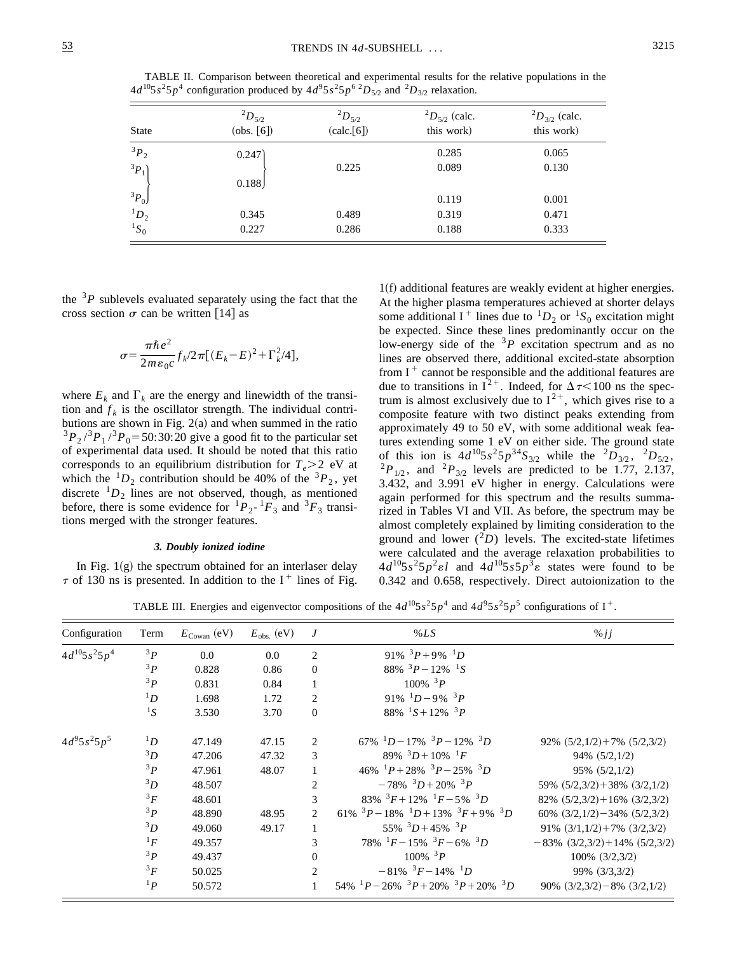TABLE II. Comparison between theoretical and experimental results for the relative populations in the  $4d^{10}5s^25p^4$  configuration produced by  $4d^95s^25p^6$   $^2D_{5/2}$  and  $^2D_{3/2}$  relaxation.

| <b>State</b> | $^{2}D_{5/2}$<br>(obs. [6]) | $^{2}D_{5/2}$<br>(calc.[6]) | ${}^{2}D_{5/2}$ (calc.<br>this work) | ${}^{2}D_{3/2}$ (calc.<br>this work) |
|--------------|-----------------------------|-----------------------------|--------------------------------------|--------------------------------------|
| ${}^3P_2$    | 0.247)                      |                             | 0.285                                | 0.065                                |
| ${}^3P_1$    | 0.188                       | 0.225                       | 0.089                                | 0.130                                |
| ${}^3P_0$    |                             |                             | 0.119                                | 0.001                                |
| $^1D_2$      | 0.345                       | 0.489                       | 0.319                                | 0.471                                |
| ${}^1S_0$    | 0.227                       | 0.286                       | 0.188                                | 0.333                                |

the  $3P$  sublevels evaluated separately using the fact that the cross section  $\sigma$  can be written [14] as

$$
\sigma = \frac{\pi\hbar e^2}{2m\epsilon_0 c} f_k/2\pi [(E_k - E)^2 + \Gamma_k^2/4],
$$

where  $E_k$  and  $\Gamma_k$  are the energy and linewidth of the transition and  $f_k$  is the oscillator strength. The individual contributions are shown in Fig.  $2(a)$  and when summed in the ratio  $3P_2$ <sup>3</sup> $P_1$ <sup>3</sup> $P_0$  = 50:30:20 give a good fit to the particular set of experimental data used. It should be noted that this ratio corresponds to an equilibrium distribution for  $T_e > 2$  eV at which the  ${}^{1}D_2$  contribution should be 40% of the  ${}^{3}P_2$ , yet discrete  ${}^{1}D_2$  lines are not observed, though, as mentioned before, there is some evidence for  ${}^{1}P_{2}$ - ${}^{1}F_{3}$  and  ${}^{3}F_{3}$  transitions merged with the stronger features.

## *3. Doubly ionized iodine*

In Fig.  $1(g)$  the spectrum obtained for an interlaser delay  $\tau$  of 130 ns is presented. In addition to the I<sup>+</sup> lines of Fig.

 $1(f)$  additional features are weakly evident at higher energies. At the higher plasma temperatures achieved at shorter delays some additional I<sup>+</sup> lines due to  ${}^{1}D_2$  or  ${}^{1}S_0$  excitation might be expected. Since these lines predominantly occur on the low-energy side of the  $3P$  excitation spectrum and as no lines are observed there, additional excited-state absorption from  $I^+$  cannot be responsible and the additional features are due to transitions in  $I^{2+}$ . Indeed, for  $\Delta \tau \leq 100$  ns the spectrum is almost exclusively due to  $I^{2+}$ , which gives rise to a composite feature with two distinct peaks extending from approximately 49 to 50 eV, with some additional weak features extending some 1 eV on either side. The ground state of this ion is  $4d^{10}5s^25p^{34}S_{3/2}$  while the  ${}^{2}D_{3/2}$ ,  ${}^{2}D_{5/2}$ ,  ${}^{2}P_{1/2}$ , and  ${}^{2}P_{3/2}$  levels are predicted to be 1.77, 2.137, 3.432, and 3.991 eV higher in energy. Calculations were again performed for this spectrum and the results summarized in Tables VI and VII. As before, the spectrum may be almost completely explained by limiting consideration to the ground and lower  $(^{2}D)$  levels. The excited-state lifetimes were calculated and the average relaxation probabilities to  $4d^{10}5s^25p^2\epsilon l$  and  $4d^{10}5s5p^3\epsilon$  states were found to be 0.342 and 0.658, respectively. Direct autoionization to the

TABLE III. Energies and eigenvector compositions of the  $4d^{10}5s^25p^4$  and  $4d^95s^25p^5$  configurations of I<sup>+</sup>.

| Configuration     | Term      | $E_{\text{Cowan}}$ (eV) | $E_{\rm obs.}$ (eV) | J              | %LS                                                         | $\%jj$                                |
|-------------------|-----------|-------------------------|---------------------|----------------|-------------------------------------------------------------|---------------------------------------|
| $4d^{10}5s^25p^4$ | 3P        | 0.0                     | 0.0                 | 2              | 91% ${}^{3}P+9%$ ${}^{1}D$                                  |                                       |
|                   | 3P        | 0.828                   | 0.86                | $\mathbf{0}$   | 88% ${}^{3}P-12\%$ ${}^{1}S$                                |                                       |
|                   | 3P        | 0.831                   | 0.84                |                | $100\%~^3P$                                                 |                                       |
|                   | ${}^1D$   | 1.698                   | 1.72                | 2              | 91% $1D-9\%$ $3P$                                           |                                       |
|                   | ${}^1S$   | 3.530                   | 3.70                | $\Omega$       | 88% ${}^{1}S+12\%$ ${}^{3}P$                                |                                       |
| $4d^95s^25p^5$    | ${}^1D$   | 47.149                  | 47.15               | $\mathfrak{D}$ | $67\%$ ${}^{1}D-17\%$ ${}^{3}P-12\%$ ${}^{3}D$              | $92\%$ $(5/2,1/2) + 7\%$ $(5/2,3/2)$  |
|                   | $^{3}D$   | 47.206                  | 47.32               | 3              | 89% ${}^{3}D+10\%$ ${}^{1}F$                                | $94\%$ $(5/2,1/2)$                    |
|                   | 3P        | 47.961                  | 48.07               |                | 46% ${}^{1}P+28\%$ ${}^{3}P-25\%$ ${}^{3}D$                 | $95\%$ $(5/2,1/2)$                    |
|                   | ${}^3D$   | 48.507                  |                     | $\overline{c}$ | $-78\%$ ${}^{3}D+20\%$ ${}^{3}P$                            | 59% $(5/2,3/2) + 38\%$ $(3/2,1/2)$    |
|                   | ${}^3F$   | 48.601                  |                     | 3              | 83% ${}^{3}F+12\%$ ${}^{1}F-5\%$ ${}^{3}D$                  | $82\%$ $(5/2,3/2) + 16\%$ $(3/2,3/2)$ |
|                   | 3p        | 48.890                  | 48.95               | $\mathfrak{D}$ | 61% ${}^{3}P-18\%$ ${}^{1}D+13\%$ ${}^{3}F+9\%$ ${}^{3}D$   | 60% $(3/2,1/2)$ - 34% $(5/2,3/2)$     |
|                   | ${}^3D$   | 49.060                  | 49.17               |                | $55\%$ ${}^{3}D+45\%$ ${}^{3}P$                             | 91% $(3/1,1/2) + 7% (3/2,3/2)$        |
|                   | ${}^1F$   | 49.357                  |                     | 3              | $78\%$ $^{1}F - 15\%$ $^{3}F - 6\%$ $^{3}D$                 | $-83\%$ $(3/2,3/2)+14\%$ $(5/2,3/2)$  |
|                   | 3P        | 49.437                  |                     | $\Omega$       | $100\%$ <sup>3</sup> P                                      | $100\%$ $(3/2,3/2)$                   |
|                   | ${}^3F$   | 50.025                  |                     | 2              | $-81\%$ $^{3}F-14\%$ $^{1}D$                                | 99% (3/3,3/2)                         |
|                   | ${}^{1}P$ | 50.572                  |                     |                | $54\%$ $^{1}P - 26\%$ $^{3}P + 20\%$ $^{3}P + 20\%$ $^{3}D$ | 90% $(3/2,3/2)$ - 8% $(3/2,1/2)$      |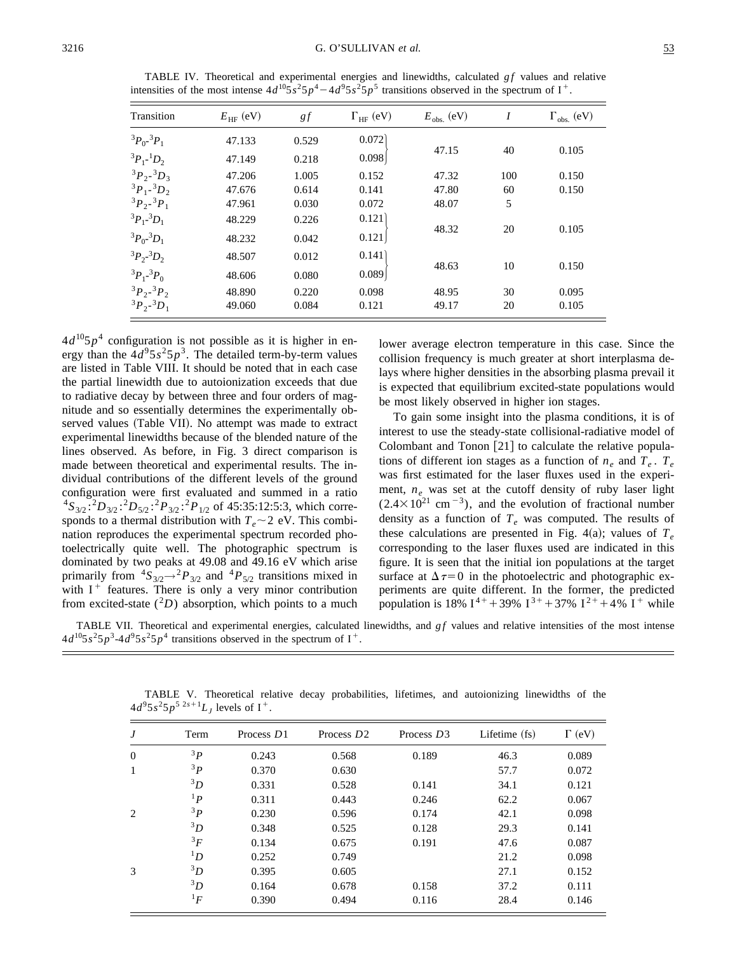| Transition                    | $E_{\text{HF}}$ (eV) | gf    | $\Gamma_{HF}$ (eV) | $E_{\rm obs.}$ (eV) | I   | $\Gamma_{\rm obs.}$ (eV) |
|-------------------------------|----------------------|-------|--------------------|---------------------|-----|--------------------------|
| ${}^3P_0$ - ${}^3P_1$         | 47.133               | 0.529 | 0.072              |                     |     |                          |
| ${}^{3}P_{1}$ - ${}^{1}D_{2}$ | 47.149               | 0.218 | 0.098              | 47.15               | 40  | 0.105                    |
| ${}^3P_2$ - ${}^3D_3$         | 47.206               | 1.005 | 0.152              | 47.32               | 100 | 0.150                    |
| ${}^3P_1$ - ${}^3D_2$         | 47.676               | 0.614 | 0.141              | 47.80               | 60  | 0.150                    |
| ${}^3P_2$ - ${}^3P_1$         | 47.961               | 0.030 | 0.072              | 48.07               | 5   |                          |
| ${}^3P_1$ - ${}^3D_1$         | 48.229               | 0.226 | 0.121              |                     |     |                          |
| ${}^3P_0$ - ${}^3D_1$         | 48.232               | 0.042 | 0.121              | 48.32               | 20  | 0.105                    |
| ${}^3P_2$ ${}^3D_2$           | 48.507               | 0.012 | 0.141              |                     |     |                          |
| ${}^3P_1$ - ${}^3P_0$         | 48.606               | 0.080 | 0.089              | 48.63               | 10  | 0.150                    |
| ${}^3P_2$ - ${}^3P_2$         | 48.890               | 0.220 | 0.098              | 48.95               | 30  | 0.095                    |
| ${}^3P_2$ - ${}^3D_1$         | 49.060               | 0.084 | 0.121              | 49.17               | 20  | 0.105                    |

TABLE IV. Theoretical and experimental energies and linewidths, calculated  $gf$  values and relative intensities of the most intense  $4d^{10}5s^25p^4 - 4d^95s^25p^5$  transitions observed in the spectrum of I<sup>+</sup>.

 $4d^{10}5p^4$  configuration is not possible as it is higher in energy than the  $4d^95s^25p^3$ . The detailed term-by-term values are listed in Table VIII. It should be noted that in each case the partial linewidth due to autoionization exceeds that due to radiative decay by between three and four orders of magnitude and so essentially determines the experimentally observed values (Table VII). No attempt was made to extract experimental linewidths because of the blended nature of the lines observed. As before, in Fig. 3 direct comparison is made between theoretical and experimental results. The individual contributions of the different levels of the ground configuration were first evaluated and summed in a ratio  ${}^{4}S_{3/2}$ :  ${}^{2}D_{3/2}$ :  ${}^{2}P_{3/2}$ :  ${}^{2}P_{1/2}$  of 45:35:12:5:3, which corresponds to a thermal distribution with  $T_e \sim 2$  eV. This combination reproduces the experimental spectrum recorded photoelectrically quite well. The photographic spectrum is dominated by two peaks at 49.08 and 49.16 eV which arise primarily from  ${}^4S_{3/2} {\rightarrow} {}^2P_{3/2}$  and  ${}^4P_{5/2}$  transitions mixed in with  $I^+$  features. There is only a very minor contribution from excited-state  $(^{2}D)$  absorption, which points to a much

lower average electron temperature in this case. Since the collision frequency is much greater at short interplasma delays where higher densities in the absorbing plasma prevail it is expected that equilibrium excited-state populations would be most likely observed in higher ion stages.

To gain some insight into the plasma conditions, it is of interest to use the steady-state collisional-radiative model of Colombant and Tonon  $[21]$  to calculate the relative populations of different ion stages as a function of  $n_e$  and  $T_e$ .  $T_e$ was first estimated for the laser fluxes used in the experiment,  $n_e$  was set at the cutoff density of ruby laser light  $(2.4 \times 10^{21} \text{ cm}^{-3})$ , and the evolution of fractional number density as a function of  $T_e$  was computed. The results of these calculations are presented in Fig. 4(a); values of  $T_e$ corresponding to the laser fluxes used are indicated in this figure. It is seen that the initial ion populations at the target surface at  $\Delta \tau = 0$  in the photoelectric and photographic experiments are quite different. In the former, the predicted population is 18%  $I^{4+}$  + 39%  $I^{3+}$  + 37%  $I^{2+}$  + 4%  $I^{+}$  while

TABLE VII. Theoretical and experimental energies, calculated linewidths, and *gf* values and relative intensities of the most intense  $4d^{10}5s^25p^3-4d^95s^25p^4$  transitions observed in the spectrum of I<sup>+</sup>.

| J              | Term      | Process D1 | Process $D2$ | Process $D3$ | Lifetime (fs) | $\Gamma$ (eV) |
|----------------|-----------|------------|--------------|--------------|---------------|---------------|
| $\overline{0}$ | 3p        | 0.243      | 0.568        | 0.189        | 46.3          | 0.089         |
| 1              | 3p        | 0.370      | 0.630        |              | 57.7          | 0.072         |
|                | 3D        | 0.331      | 0.528        | 0.141        | 34.1          | 0.121         |
|                | $^{1}P$   | 0.311      | 0.443        | 0.246        | 62.2          | 0.067         |
| 2              | 3p        | 0.230      | 0.596        | 0.174        | 42.1          | 0.098         |
|                | 3D        | 0.348      | 0.525        | 0.128        | 29.3          | 0.141         |
|                | ${}^{3}F$ | 0.134      | 0.675        | 0.191        | 47.6          | 0.087         |
|                | ${}^1D$   | 0.252      | 0.749        |              | 21.2          | 0.098         |
| 3              | ${}^{3}D$ | 0.395      | 0.605        |              | 27.1          | 0.152         |
|                | ${}^{3}D$ | 0.164      | 0.678        | 0.158        | 37.2          | 0.111         |
|                | ${}^1F$   | 0.390      | 0.494        | 0.116        | 28.4          | 0.146         |

TABLE V. Theoretical relative decay probabilities, lifetimes, and autoionizing linewidths of the  $4d^95s^25p^{52s+1}L_J$  levels of I<sup>+</sup>.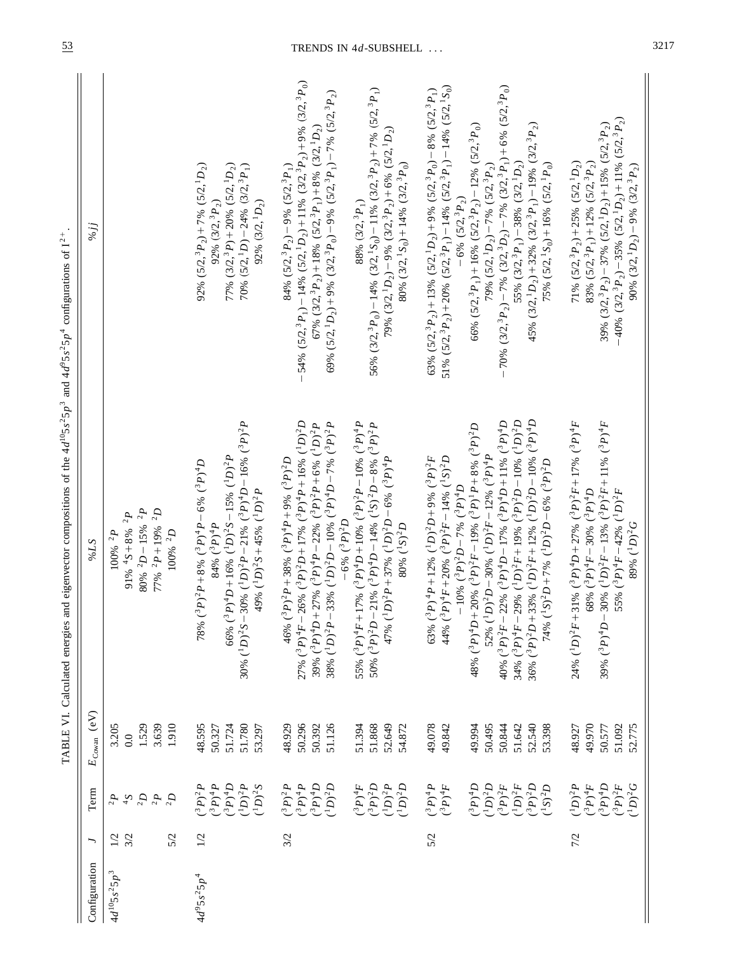| 56% $(3/2, \frac{3}{2}P_0) - 14\% (3/2, \frac{1}{2}S_0) - 11\% (3/2, \frac{3}{2}P_2) + 7\% (5/2, \frac{3}{2}P_1)$<br>$-40\%$ (3/2, <sup>3</sup> P <sub>2</sub> ) – 35% (5/2, <sup>1</sup> D <sub>2</sub> ) + 11% (5/2, <sup>3</sup> P <sub>2</sub> )<br>39% $(3/2, {}^3P_2) - 37% (5/2, {}^1D_2) + 15% (5/2, {}^3P_2)$<br>66% $(5/2, {^3P}_1) + 16% (5/2, {^3P}_2) - 12% (5/2, {^3P}_0)$<br>45% $(3/2, {}^{1}D_{2}) + 32% (3/2, {}^{3}P_{1}) - 19% (3/2, {}^{3}P_{2})$<br>67% $(3/2, {}^3P_2)$ + 18% $(5/2, {}^3P_1)$ + 8% $(3/2, {}^1D_2)$<br>79% $(3/2, {}^{1}D_{2})$ – 9% $(3/2, {}^{3}P_{2})$ + 6% $(5/2, {}^{1}D_{2})$<br>80% $(3/2, {}^{1}S_{0}) + 14% (3/2, {}^{3}P_{0})$<br>71% $(5/2, {}^3P_2) + 25% (5/2, {}^1D_2)$<br>83% $(5/2, {}^{3}P_{1}) + 12% (5/2, {}^{3}P_{2})$<br>55% $(3/2, {}^3P_1) - 38%$ $(3/2, {}^1D_2)$<br>75% $(5/2, {}^{1}S_{0}) + 16% (5/2, {}^{1}P_{0})$<br>79% $(5/2, {}^{1}D_2) - 7% (5/2, {}^{3}P_2)$<br>77% $(3/2,3P) + 20% (5/2,1D_2)$<br>84% $(5/2, \frac{3}{2}P_2) - 9\%$ $(5/2, \frac{3}{2}P_1)$<br>90% $(3/2, {}^{1}D_2) - 9%$ $(3/2, {}^{3}P_2)$<br>92% $(5/2, \frac{3}{2}P_2) + 7\%$ $(5/2, \frac{1}{2}D_2)$<br>70% $(5/2, {}^{1}D) - 24% (3/2, {}^{3}P_{1})$<br>$-6\%$ (5/2, <sup>3</sup> P <sub>2</sub> )<br>92% $(3/2, {}^{1}D_2)$<br>88% $(3/2, {}^{3}P_{1})$<br>92% $(3/2, {}^3P_2)$<br>36% $({}^3P)^2D+33\%$ $({}^1D)^2F+12\%$ $({}^1D)^2D-10\%$ $({}^3P)^4D$<br>$27\%$ ( <sup>3</sup> P) <sup>4</sup> F-26% ( <sup>3</sup> P) <sup>2</sup> D+17% ( <sup>3</sup> P) <sup>4</sup> P+16% ( <sup>1</sup> D) <sup>2</sup> D<br>40% $(^3P)^2F - 22\%$ $(^3P)^4D - 17\%$ $(^3P)^4D + 11\%$ $(^3P)^4D$<br>34% $(^3P)^4F - 29\%$ $(^1D)^2F + 19\%$ $(^3P)^2D - 10\%$ $(^1D)^2D$<br>24% $(^{1}D)^{2}F+31\%$ $(^{3}P)^{4}D+27\%$ $(^{3}P)^{2}F+17\%$ $(^{3}P)^{4}F$<br>30% $(^{1}D)^{2}S-30$ % $(^{1}D)^{2}P-21$ % $(^{3}P)^{4}D-16$ % $(^{3}P)^{2}P$<br>38% $(^{1}D)^{2}P-33\%$ $(^{1}D)^{2}D-10\%$ $(^{3}P)^{4}D-7\%$ $(^{3}P)^{2}P$<br>55% $(^3P)^4F + 17\%$ $(^3P)^4D + 10\%$ $(^3P)^2P - 10\%$ $(^3P)^4P$<br>39% $(^3P)^4D-30\%$ $(^1D)^2F-13\%$ $(^3P)^2F+11\%$ $(^3P)^4F$<br>39% $(^3P)^4D+27%$ $(^3P)^4P-22%$ $(^3P)^2P+6%$ $(^1D)^2P$<br>50% $(^3P)^2D - 21\%$ $(^3P)^4D - 14\%$ $(^1S)^2D - 8\%$ $(^3P)^2P$<br>48% $(^3P)^4D+20%$ $(^3P)^2F-19%$ $(^3P)^1P+8%$ $(^3P)^2D$<br>52% ( ${}^{1}D$ ) <sup>2</sup> D – 30% ( ${}^{1}D$ ) <sup>2</sup> F – 12% ( ${}^{3}P$ ) <sup>4</sup> P<br>66% $(^3P)^4D + 16\%$ $(^1D)^2S - 15\%$ $(^1D)^2P$<br>63% $(^3P)^4P + 12\%$ $(^1D)^2D + 9\%$ $(^3P)^2F$<br>44% ( ${}^{3}P)^{4}F + 20%$ ( ${}^{3}P)^{2}F - 14%$ ( ${}^{1}S)^{2}D$<br>$47\%$ ( <sup>1</sup> D) <sup>2</sup> P + 37% ( <sup>1</sup> D) <sup>2</sup> D - 6% ( <sup>3</sup> P) <sup>4</sup> P<br>$p^2P + 38\%$ $(^3P)^4P + 9\%$ $(^3P)^2D$<br>78% $(^3P)^2P+8\%$ $(^3P)^4P-6\%$ $(^3P)^4D$<br>74% ( ${}^{1}S$ ) <sup>2</sup> D+7% ( ${}^{1}D$ ) <sup>2</sup> D-6% ( ${}^{3}P$ ) <sup>2</sup> D<br>$(P^{\circ}Q^3P)^2D-7\%$ ( <sup>3</sup> P) <sup>4</sup> D<br>49% $(^1D)^2S+45\%$ $(^1D)^2P$<br>68% $(^3P)^4F - 30\%$ $(^3P)^4D$<br>55% $(^3P)^4F - 42\%$ $(^1D)^2F$<br>$80\%~^{2}D-15\%~^{2}P$<br>77% $^{2}P+19%$ $^{2}D$<br>91% $4S+8%$ 2P<br>$-6\%~(^3P)^2D$<br>$84\%$ $(^3P)^4P$<br>80% $(^{1}S)^{2}D$<br>89% $(^{1}D)^{2}G$<br>$100\%$ $^2D$<br>$100\%~^2P$<br>46% $(^{3}F)$<br>1.529<br>3.639<br>1.910<br>50.296<br>49.970<br>51.780<br>50.392<br>51.126<br>51.868<br>49.078<br>49.842<br>50.495<br>52.540<br>53.398<br>51.092<br>52.775<br>3.205<br>48.595<br>51.724<br>48.929<br>51.394<br>52.649<br>49.994<br>50.844<br>51.642<br>50.577<br>50.327<br>53.297<br>54.872<br>48.927<br>0.0<br>$(D)^2D$<br>$\boldsymbol{G}_{\textrm{F}}(\boldsymbol{d}_{\textrm{c}})$<br>$(^3P)^2F$<br>$(D)^2G$<br>$(3P)^4D$<br>$(D)^2 P$<br>$(^3P)^4D$<br>$(^1D)^2D$<br>$(^3P)^2D$<br>$(P^{1}D)^{2}P$<br>$(D)^2D$<br>$(^3P)^2F$<br>$(D)^2F$<br>$(^3P)^2D$<br>$(^1D)^2P$<br>$(^3P)^4F$<br>$(^3P)^4P$<br>$\zeta^1(D)^2 S$<br>$({}^3P)^4P$<br>$(^3P)^4F$<br>$(P)^4D$<br>$(^3P)^2P$<br>$(^3P)^2P$<br>$(^3P)^4F$<br>$(^3P)^4P$<br>$(S^1S)^2D$<br>$Q_2$<br>2P<br>2D<br>$S_{\bar{r}}$<br>5/2<br>3/2<br>5/2<br>7/2<br>$\overline{2}$<br>3/2<br>$\overline{2}$<br>$4d^{10}5s^25p^3$<br>$4d^{9}5s^{2}5p^{4}$ | Configuration | ╮ | Term | $E_{\text{Cowan}}$ (eV) | 879 | %jj                                                                                                 |
|--------------------------------------------------------------------------------------------------------------------------------------------------------------------------------------------------------------------------------------------------------------------------------------------------------------------------------------------------------------------------------------------------------------------------------------------------------------------------------------------------------------------------------------------------------------------------------------------------------------------------------------------------------------------------------------------------------------------------------------------------------------------------------------------------------------------------------------------------------------------------------------------------------------------------------------------------------------------------------------------------------------------------------------------------------------------------------------------------------------------------------------------------------------------------------------------------------------------------------------------------------------------------------------------------------------------------------------------------------------------------------------------------------------------------------------------------------------------------------------------------------------------------------------------------------------------------------------------------------------------------------------------------------------------------------------------------------------------------------------------------------------------------------------------------------------------------------------------------------------------------------------------------------------------------------------------------------------------------------------------------------------------------------------------------------------------------------------------------------------------------------------------------------------------------------------------------------------------------------------------------------------------------------------------------------------------------------------------------------------------------------------------------------------------------------------------------------------------------------------------------------------------------------------------------------------------------------------------------------------------------------------------------------------------------------------------------------------------------------------------------------------------------------------------------------------------------------------------------------------------------------------------------------------------------------------------------------------------------------------------------------------------------------------------------------------------------------------------------------------------------------------------------------------------------------------------------------------------------------------------------------------------------------------------------------------------------------------------------------------------------------------------------------------------------------------------------------------------------------------------------------------------------------------------------------------------------------------------------------------------------------------------------------------------------------------------------------------------------------------------------------------------------------------------------------------------------------------------------------------------------------------------------------------------------------------------------------------------------------------------------------------------------------------------------------------------------------------------------------------------------------------------------------------------------------------------------------------------------------------------|---------------|---|------|-------------------------|-----|-----------------------------------------------------------------------------------------------------|
|                                                                                                                                                                                                                                                                                                                                                                                                                                                                                                                                                                                                                                                                                                                                                                                                                                                                                                                                                                                                                                                                                                                                                                                                                                                                                                                                                                                                                                                                                                                                                                                                                                                                                                                                                                                                                                                                                                                                                                                                                                                                                                                                                                                                                                                                                                                                                                                                                                                                                                                                                                                                                                                                                                                                                                                                                                                                                                                                                                                                                                                                                                                                                                                                                                                                                                                                                                                                                                                                                                                                                                                                                                                                                                                                                                                                                                                                                                                                                                                                                                                                                                                                                                                                                                            |               |   |      |                         |     |                                                                                                     |
|                                                                                                                                                                                                                                                                                                                                                                                                                                                                                                                                                                                                                                                                                                                                                                                                                                                                                                                                                                                                                                                                                                                                                                                                                                                                                                                                                                                                                                                                                                                                                                                                                                                                                                                                                                                                                                                                                                                                                                                                                                                                                                                                                                                                                                                                                                                                                                                                                                                                                                                                                                                                                                                                                                                                                                                                                                                                                                                                                                                                                                                                                                                                                                                                                                                                                                                                                                                                                                                                                                                                                                                                                                                                                                                                                                                                                                                                                                                                                                                                                                                                                                                                                                                                                                            |               |   |      |                         |     |                                                                                                     |
|                                                                                                                                                                                                                                                                                                                                                                                                                                                                                                                                                                                                                                                                                                                                                                                                                                                                                                                                                                                                                                                                                                                                                                                                                                                                                                                                                                                                                                                                                                                                                                                                                                                                                                                                                                                                                                                                                                                                                                                                                                                                                                                                                                                                                                                                                                                                                                                                                                                                                                                                                                                                                                                                                                                                                                                                                                                                                                                                                                                                                                                                                                                                                                                                                                                                                                                                                                                                                                                                                                                                                                                                                                                                                                                                                                                                                                                                                                                                                                                                                                                                                                                                                                                                                                            |               |   |      |                         |     |                                                                                                     |
|                                                                                                                                                                                                                                                                                                                                                                                                                                                                                                                                                                                                                                                                                                                                                                                                                                                                                                                                                                                                                                                                                                                                                                                                                                                                                                                                                                                                                                                                                                                                                                                                                                                                                                                                                                                                                                                                                                                                                                                                                                                                                                                                                                                                                                                                                                                                                                                                                                                                                                                                                                                                                                                                                                                                                                                                                                                                                                                                                                                                                                                                                                                                                                                                                                                                                                                                                                                                                                                                                                                                                                                                                                                                                                                                                                                                                                                                                                                                                                                                                                                                                                                                                                                                                                            |               |   |      |                         |     |                                                                                                     |
|                                                                                                                                                                                                                                                                                                                                                                                                                                                                                                                                                                                                                                                                                                                                                                                                                                                                                                                                                                                                                                                                                                                                                                                                                                                                                                                                                                                                                                                                                                                                                                                                                                                                                                                                                                                                                                                                                                                                                                                                                                                                                                                                                                                                                                                                                                                                                                                                                                                                                                                                                                                                                                                                                                                                                                                                                                                                                                                                                                                                                                                                                                                                                                                                                                                                                                                                                                                                                                                                                                                                                                                                                                                                                                                                                                                                                                                                                                                                                                                                                                                                                                                                                                                                                                            |               |   |      |                         |     |                                                                                                     |
|                                                                                                                                                                                                                                                                                                                                                                                                                                                                                                                                                                                                                                                                                                                                                                                                                                                                                                                                                                                                                                                                                                                                                                                                                                                                                                                                                                                                                                                                                                                                                                                                                                                                                                                                                                                                                                                                                                                                                                                                                                                                                                                                                                                                                                                                                                                                                                                                                                                                                                                                                                                                                                                                                                                                                                                                                                                                                                                                                                                                                                                                                                                                                                                                                                                                                                                                                                                                                                                                                                                                                                                                                                                                                                                                                                                                                                                                                                                                                                                                                                                                                                                                                                                                                                            |               |   |      |                         |     |                                                                                                     |
|                                                                                                                                                                                                                                                                                                                                                                                                                                                                                                                                                                                                                                                                                                                                                                                                                                                                                                                                                                                                                                                                                                                                                                                                                                                                                                                                                                                                                                                                                                                                                                                                                                                                                                                                                                                                                                                                                                                                                                                                                                                                                                                                                                                                                                                                                                                                                                                                                                                                                                                                                                                                                                                                                                                                                                                                                                                                                                                                                                                                                                                                                                                                                                                                                                                                                                                                                                                                                                                                                                                                                                                                                                                                                                                                                                                                                                                                                                                                                                                                                                                                                                                                                                                                                                            |               |   |      |                         |     |                                                                                                     |
|                                                                                                                                                                                                                                                                                                                                                                                                                                                                                                                                                                                                                                                                                                                                                                                                                                                                                                                                                                                                                                                                                                                                                                                                                                                                                                                                                                                                                                                                                                                                                                                                                                                                                                                                                                                                                                                                                                                                                                                                                                                                                                                                                                                                                                                                                                                                                                                                                                                                                                                                                                                                                                                                                                                                                                                                                                                                                                                                                                                                                                                                                                                                                                                                                                                                                                                                                                                                                                                                                                                                                                                                                                                                                                                                                                                                                                                                                                                                                                                                                                                                                                                                                                                                                                            |               |   |      |                         |     |                                                                                                     |
|                                                                                                                                                                                                                                                                                                                                                                                                                                                                                                                                                                                                                                                                                                                                                                                                                                                                                                                                                                                                                                                                                                                                                                                                                                                                                                                                                                                                                                                                                                                                                                                                                                                                                                                                                                                                                                                                                                                                                                                                                                                                                                                                                                                                                                                                                                                                                                                                                                                                                                                                                                                                                                                                                                                                                                                                                                                                                                                                                                                                                                                                                                                                                                                                                                                                                                                                                                                                                                                                                                                                                                                                                                                                                                                                                                                                                                                                                                                                                                                                                                                                                                                                                                                                                                            |               |   |      |                         |     |                                                                                                     |
|                                                                                                                                                                                                                                                                                                                                                                                                                                                                                                                                                                                                                                                                                                                                                                                                                                                                                                                                                                                                                                                                                                                                                                                                                                                                                                                                                                                                                                                                                                                                                                                                                                                                                                                                                                                                                                                                                                                                                                                                                                                                                                                                                                                                                                                                                                                                                                                                                                                                                                                                                                                                                                                                                                                                                                                                                                                                                                                                                                                                                                                                                                                                                                                                                                                                                                                                                                                                                                                                                                                                                                                                                                                                                                                                                                                                                                                                                                                                                                                                                                                                                                                                                                                                                                            |               |   |      |                         |     |                                                                                                     |
|                                                                                                                                                                                                                                                                                                                                                                                                                                                                                                                                                                                                                                                                                                                                                                                                                                                                                                                                                                                                                                                                                                                                                                                                                                                                                                                                                                                                                                                                                                                                                                                                                                                                                                                                                                                                                                                                                                                                                                                                                                                                                                                                                                                                                                                                                                                                                                                                                                                                                                                                                                                                                                                                                                                                                                                                                                                                                                                                                                                                                                                                                                                                                                                                                                                                                                                                                                                                                                                                                                                                                                                                                                                                                                                                                                                                                                                                                                                                                                                                                                                                                                                                                                                                                                            |               |   |      |                         |     |                                                                                                     |
|                                                                                                                                                                                                                                                                                                                                                                                                                                                                                                                                                                                                                                                                                                                                                                                                                                                                                                                                                                                                                                                                                                                                                                                                                                                                                                                                                                                                                                                                                                                                                                                                                                                                                                                                                                                                                                                                                                                                                                                                                                                                                                                                                                                                                                                                                                                                                                                                                                                                                                                                                                                                                                                                                                                                                                                                                                                                                                                                                                                                                                                                                                                                                                                                                                                                                                                                                                                                                                                                                                                                                                                                                                                                                                                                                                                                                                                                                                                                                                                                                                                                                                                                                                                                                                            |               |   |      |                         |     | 54% $(5/2, {}^{3}P_{1}) - 14% (5/2, {}^{1}D_{2}) + 11% (3/2, {}^{3}P_{2}) + 9% (3/2, {}^{3}P_{0})$  |
|                                                                                                                                                                                                                                                                                                                                                                                                                                                                                                                                                                                                                                                                                                                                                                                                                                                                                                                                                                                                                                                                                                                                                                                                                                                                                                                                                                                                                                                                                                                                                                                                                                                                                                                                                                                                                                                                                                                                                                                                                                                                                                                                                                                                                                                                                                                                                                                                                                                                                                                                                                                                                                                                                                                                                                                                                                                                                                                                                                                                                                                                                                                                                                                                                                                                                                                                                                                                                                                                                                                                                                                                                                                                                                                                                                                                                                                                                                                                                                                                                                                                                                                                                                                                                                            |               |   |      |                         |     |                                                                                                     |
|                                                                                                                                                                                                                                                                                                                                                                                                                                                                                                                                                                                                                                                                                                                                                                                                                                                                                                                                                                                                                                                                                                                                                                                                                                                                                                                                                                                                                                                                                                                                                                                                                                                                                                                                                                                                                                                                                                                                                                                                                                                                                                                                                                                                                                                                                                                                                                                                                                                                                                                                                                                                                                                                                                                                                                                                                                                                                                                                                                                                                                                                                                                                                                                                                                                                                                                                                                                                                                                                                                                                                                                                                                                                                                                                                                                                                                                                                                                                                                                                                                                                                                                                                                                                                                            |               |   |      |                         |     | 69% $(5/2, {}^{1}D_{2})+9% (3/2, {}^{3}P_{0})-9% (5/2, {}^{3}P_{1})-7% (5/2, {}^{3}P_{2})$          |
|                                                                                                                                                                                                                                                                                                                                                                                                                                                                                                                                                                                                                                                                                                                                                                                                                                                                                                                                                                                                                                                                                                                                                                                                                                                                                                                                                                                                                                                                                                                                                                                                                                                                                                                                                                                                                                                                                                                                                                                                                                                                                                                                                                                                                                                                                                                                                                                                                                                                                                                                                                                                                                                                                                                                                                                                                                                                                                                                                                                                                                                                                                                                                                                                                                                                                                                                                                                                                                                                                                                                                                                                                                                                                                                                                                                                                                                                                                                                                                                                                                                                                                                                                                                                                                            |               |   |      |                         |     |                                                                                                     |
|                                                                                                                                                                                                                                                                                                                                                                                                                                                                                                                                                                                                                                                                                                                                                                                                                                                                                                                                                                                                                                                                                                                                                                                                                                                                                                                                                                                                                                                                                                                                                                                                                                                                                                                                                                                                                                                                                                                                                                                                                                                                                                                                                                                                                                                                                                                                                                                                                                                                                                                                                                                                                                                                                                                                                                                                                                                                                                                                                                                                                                                                                                                                                                                                                                                                                                                                                                                                                                                                                                                                                                                                                                                                                                                                                                                                                                                                                                                                                                                                                                                                                                                                                                                                                                            |               |   |      |                         |     |                                                                                                     |
|                                                                                                                                                                                                                                                                                                                                                                                                                                                                                                                                                                                                                                                                                                                                                                                                                                                                                                                                                                                                                                                                                                                                                                                                                                                                                                                                                                                                                                                                                                                                                                                                                                                                                                                                                                                                                                                                                                                                                                                                                                                                                                                                                                                                                                                                                                                                                                                                                                                                                                                                                                                                                                                                                                                                                                                                                                                                                                                                                                                                                                                                                                                                                                                                                                                                                                                                                                                                                                                                                                                                                                                                                                                                                                                                                                                                                                                                                                                                                                                                                                                                                                                                                                                                                                            |               |   |      |                         |     |                                                                                                     |
|                                                                                                                                                                                                                                                                                                                                                                                                                                                                                                                                                                                                                                                                                                                                                                                                                                                                                                                                                                                                                                                                                                                                                                                                                                                                                                                                                                                                                                                                                                                                                                                                                                                                                                                                                                                                                                                                                                                                                                                                                                                                                                                                                                                                                                                                                                                                                                                                                                                                                                                                                                                                                                                                                                                                                                                                                                                                                                                                                                                                                                                                                                                                                                                                                                                                                                                                                                                                                                                                                                                                                                                                                                                                                                                                                                                                                                                                                                                                                                                                                                                                                                                                                                                                                                            |               |   |      |                         |     |                                                                                                     |
|                                                                                                                                                                                                                                                                                                                                                                                                                                                                                                                                                                                                                                                                                                                                                                                                                                                                                                                                                                                                                                                                                                                                                                                                                                                                                                                                                                                                                                                                                                                                                                                                                                                                                                                                                                                                                                                                                                                                                                                                                                                                                                                                                                                                                                                                                                                                                                                                                                                                                                                                                                                                                                                                                                                                                                                                                                                                                                                                                                                                                                                                                                                                                                                                                                                                                                                                                                                                                                                                                                                                                                                                                                                                                                                                                                                                                                                                                                                                                                                                                                                                                                                                                                                                                                            |               |   |      |                         |     |                                                                                                     |
|                                                                                                                                                                                                                                                                                                                                                                                                                                                                                                                                                                                                                                                                                                                                                                                                                                                                                                                                                                                                                                                                                                                                                                                                                                                                                                                                                                                                                                                                                                                                                                                                                                                                                                                                                                                                                                                                                                                                                                                                                                                                                                                                                                                                                                                                                                                                                                                                                                                                                                                                                                                                                                                                                                                                                                                                                                                                                                                                                                                                                                                                                                                                                                                                                                                                                                                                                                                                                                                                                                                                                                                                                                                                                                                                                                                                                                                                                                                                                                                                                                                                                                                                                                                                                                            |               |   |      |                         |     | 63% $(5/2, {}^3P_2) + 13% (5/2, {}^1D_2) + 9% (5/2, {}^3P_0) - 8% (5/2, {}^3P_1)$                   |
|                                                                                                                                                                                                                                                                                                                                                                                                                                                                                                                                                                                                                                                                                                                                                                                                                                                                                                                                                                                                                                                                                                                                                                                                                                                                                                                                                                                                                                                                                                                                                                                                                                                                                                                                                                                                                                                                                                                                                                                                                                                                                                                                                                                                                                                                                                                                                                                                                                                                                                                                                                                                                                                                                                                                                                                                                                                                                                                                                                                                                                                                                                                                                                                                                                                                                                                                                                                                                                                                                                                                                                                                                                                                                                                                                                                                                                                                                                                                                                                                                                                                                                                                                                                                                                            |               |   |      |                         |     | 51% $(5/2, {}^{3}P_{2}) + 20% (5/2, {}^{3}P_{1}) - 14% (5/2, {}^{3}P_{1}) - 14% (5/2, {}^{1}S_{0})$ |
|                                                                                                                                                                                                                                                                                                                                                                                                                                                                                                                                                                                                                                                                                                                                                                                                                                                                                                                                                                                                                                                                                                                                                                                                                                                                                                                                                                                                                                                                                                                                                                                                                                                                                                                                                                                                                                                                                                                                                                                                                                                                                                                                                                                                                                                                                                                                                                                                                                                                                                                                                                                                                                                                                                                                                                                                                                                                                                                                                                                                                                                                                                                                                                                                                                                                                                                                                                                                                                                                                                                                                                                                                                                                                                                                                                                                                                                                                                                                                                                                                                                                                                                                                                                                                                            |               |   |      |                         |     |                                                                                                     |
|                                                                                                                                                                                                                                                                                                                                                                                                                                                                                                                                                                                                                                                                                                                                                                                                                                                                                                                                                                                                                                                                                                                                                                                                                                                                                                                                                                                                                                                                                                                                                                                                                                                                                                                                                                                                                                                                                                                                                                                                                                                                                                                                                                                                                                                                                                                                                                                                                                                                                                                                                                                                                                                                                                                                                                                                                                                                                                                                                                                                                                                                                                                                                                                                                                                                                                                                                                                                                                                                                                                                                                                                                                                                                                                                                                                                                                                                                                                                                                                                                                                                                                                                                                                                                                            |               |   |      |                         |     |                                                                                                     |
|                                                                                                                                                                                                                                                                                                                                                                                                                                                                                                                                                                                                                                                                                                                                                                                                                                                                                                                                                                                                                                                                                                                                                                                                                                                                                                                                                                                                                                                                                                                                                                                                                                                                                                                                                                                                                                                                                                                                                                                                                                                                                                                                                                                                                                                                                                                                                                                                                                                                                                                                                                                                                                                                                                                                                                                                                                                                                                                                                                                                                                                                                                                                                                                                                                                                                                                                                                                                                                                                                                                                                                                                                                                                                                                                                                                                                                                                                                                                                                                                                                                                                                                                                                                                                                            |               |   |      |                         |     |                                                                                                     |
|                                                                                                                                                                                                                                                                                                                                                                                                                                                                                                                                                                                                                                                                                                                                                                                                                                                                                                                                                                                                                                                                                                                                                                                                                                                                                                                                                                                                                                                                                                                                                                                                                                                                                                                                                                                                                                                                                                                                                                                                                                                                                                                                                                                                                                                                                                                                                                                                                                                                                                                                                                                                                                                                                                                                                                                                                                                                                                                                                                                                                                                                                                                                                                                                                                                                                                                                                                                                                                                                                                                                                                                                                                                                                                                                                                                                                                                                                                                                                                                                                                                                                                                                                                                                                                            |               |   |      |                         |     | $-70\%~(3/2,{}^{3}P_{2})-7\%~(3/2,{}^{3}D_{2})-7\%~(3/2,{}^{3}P_{1})+6\%~(5/2,{}^{3}P_{0})$         |
|                                                                                                                                                                                                                                                                                                                                                                                                                                                                                                                                                                                                                                                                                                                                                                                                                                                                                                                                                                                                                                                                                                                                                                                                                                                                                                                                                                                                                                                                                                                                                                                                                                                                                                                                                                                                                                                                                                                                                                                                                                                                                                                                                                                                                                                                                                                                                                                                                                                                                                                                                                                                                                                                                                                                                                                                                                                                                                                                                                                                                                                                                                                                                                                                                                                                                                                                                                                                                                                                                                                                                                                                                                                                                                                                                                                                                                                                                                                                                                                                                                                                                                                                                                                                                                            |               |   |      |                         |     |                                                                                                     |
|                                                                                                                                                                                                                                                                                                                                                                                                                                                                                                                                                                                                                                                                                                                                                                                                                                                                                                                                                                                                                                                                                                                                                                                                                                                                                                                                                                                                                                                                                                                                                                                                                                                                                                                                                                                                                                                                                                                                                                                                                                                                                                                                                                                                                                                                                                                                                                                                                                                                                                                                                                                                                                                                                                                                                                                                                                                                                                                                                                                                                                                                                                                                                                                                                                                                                                                                                                                                                                                                                                                                                                                                                                                                                                                                                                                                                                                                                                                                                                                                                                                                                                                                                                                                                                            |               |   |      |                         |     |                                                                                                     |
|                                                                                                                                                                                                                                                                                                                                                                                                                                                                                                                                                                                                                                                                                                                                                                                                                                                                                                                                                                                                                                                                                                                                                                                                                                                                                                                                                                                                                                                                                                                                                                                                                                                                                                                                                                                                                                                                                                                                                                                                                                                                                                                                                                                                                                                                                                                                                                                                                                                                                                                                                                                                                                                                                                                                                                                                                                                                                                                                                                                                                                                                                                                                                                                                                                                                                                                                                                                                                                                                                                                                                                                                                                                                                                                                                                                                                                                                                                                                                                                                                                                                                                                                                                                                                                            |               |   |      |                         |     |                                                                                                     |
|                                                                                                                                                                                                                                                                                                                                                                                                                                                                                                                                                                                                                                                                                                                                                                                                                                                                                                                                                                                                                                                                                                                                                                                                                                                                                                                                                                                                                                                                                                                                                                                                                                                                                                                                                                                                                                                                                                                                                                                                                                                                                                                                                                                                                                                                                                                                                                                                                                                                                                                                                                                                                                                                                                                                                                                                                                                                                                                                                                                                                                                                                                                                                                                                                                                                                                                                                                                                                                                                                                                                                                                                                                                                                                                                                                                                                                                                                                                                                                                                                                                                                                                                                                                                                                            |               |   |      |                         |     |                                                                                                     |
|                                                                                                                                                                                                                                                                                                                                                                                                                                                                                                                                                                                                                                                                                                                                                                                                                                                                                                                                                                                                                                                                                                                                                                                                                                                                                                                                                                                                                                                                                                                                                                                                                                                                                                                                                                                                                                                                                                                                                                                                                                                                                                                                                                                                                                                                                                                                                                                                                                                                                                                                                                                                                                                                                                                                                                                                                                                                                                                                                                                                                                                                                                                                                                                                                                                                                                                                                                                                                                                                                                                                                                                                                                                                                                                                                                                                                                                                                                                                                                                                                                                                                                                                                                                                                                            |               |   |      |                         |     |                                                                                                     |
|                                                                                                                                                                                                                                                                                                                                                                                                                                                                                                                                                                                                                                                                                                                                                                                                                                                                                                                                                                                                                                                                                                                                                                                                                                                                                                                                                                                                                                                                                                                                                                                                                                                                                                                                                                                                                                                                                                                                                                                                                                                                                                                                                                                                                                                                                                                                                                                                                                                                                                                                                                                                                                                                                                                                                                                                                                                                                                                                                                                                                                                                                                                                                                                                                                                                                                                                                                                                                                                                                                                                                                                                                                                                                                                                                                                                                                                                                                                                                                                                                                                                                                                                                                                                                                            |               |   |      |                         |     |                                                                                                     |
|                                                                                                                                                                                                                                                                                                                                                                                                                                                                                                                                                                                                                                                                                                                                                                                                                                                                                                                                                                                                                                                                                                                                                                                                                                                                                                                                                                                                                                                                                                                                                                                                                                                                                                                                                                                                                                                                                                                                                                                                                                                                                                                                                                                                                                                                                                                                                                                                                                                                                                                                                                                                                                                                                                                                                                                                                                                                                                                                                                                                                                                                                                                                                                                                                                                                                                                                                                                                                                                                                                                                                                                                                                                                                                                                                                                                                                                                                                                                                                                                                                                                                                                                                                                                                                            |               |   |      |                         |     |                                                                                                     |
|                                                                                                                                                                                                                                                                                                                                                                                                                                                                                                                                                                                                                                                                                                                                                                                                                                                                                                                                                                                                                                                                                                                                                                                                                                                                                                                                                                                                                                                                                                                                                                                                                                                                                                                                                                                                                                                                                                                                                                                                                                                                                                                                                                                                                                                                                                                                                                                                                                                                                                                                                                                                                                                                                                                                                                                                                                                                                                                                                                                                                                                                                                                                                                                                                                                                                                                                                                                                                                                                                                                                                                                                                                                                                                                                                                                                                                                                                                                                                                                                                                                                                                                                                                                                                                            |               |   |      |                         |     |                                                                                                     |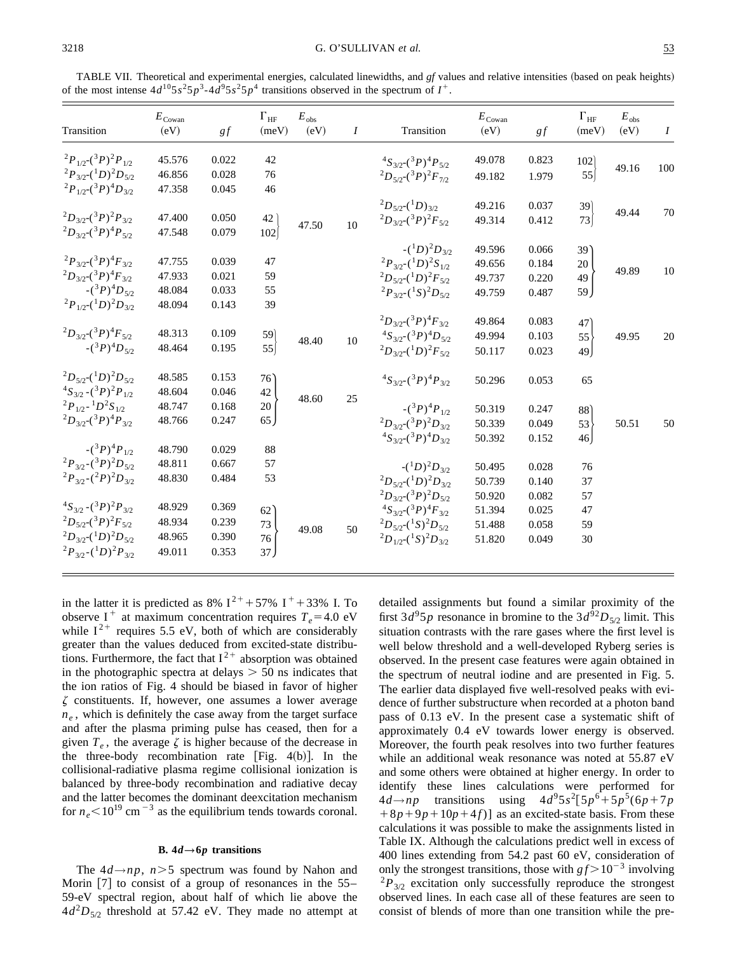TABLE VII. Theoretical and experimental energies, calculated linewidths, and *gf* values and relative intensities (based on peak heights) of the most intense  $4d^{10}5s^25p^3-4d^95s^25p^4$  transitions observed in the spectrum of  $I^+$ .

| Transition                               | $E_{\text{Cowan}}$<br>(eV) | gf    | $\Gamma_{\rm HF}$<br>(meV)               | $E_{\rm obs}$<br>(eV) | $\boldsymbol{I}$ | Transition                                 | $E_{\text{Cowan}}$<br>(eV) | gf    | $\Gamma_{\rm HF}$<br>(meV) | $E_{\rm obs}$<br>(eV) | $\boldsymbol{I}$ |
|------------------------------------------|----------------------------|-------|------------------------------------------|-----------------------|------------------|--------------------------------------------|----------------------------|-------|----------------------------|-----------------------|------------------|
| $^{2}P_{1/2}$ $({}^{3}P)^{2}P_{1/2}$     | 45.576                     | 0.022 | 42                                       |                       |                  | ${}^{4}S_{3/2}({}^{3}P)^{4}P_{5/2}$        | 49.078                     | 0.823 | 102                        |                       |                  |
| $^{2}P_{3/2}({}^{1}D)^{2}D_{5/2}$        | 46.856                     | 0.028 | 76                                       |                       |                  | ${}^{2}D_{5/2}({}^{3}P){}^{2}F_{7/2}$      | 49.182                     | 1.979 | 55                         | 49.16                 | 100              |
| ${}^{2}P_{1/2}({}^{3}P)^{4}D_{3/2}$      | 47.358                     | 0.045 | 46                                       |                       |                  |                                            |                            |       |                            |                       |                  |
|                                          |                            |       |                                          |                       |                  | ${}^{2}D_{5/2}({}^{1}D)_{3/2}$             | 49.216                     | 0.037 | 39)                        |                       |                  |
| $^{2}D_{3/2}({}^{3}P)^{2}P_{3/2}$        | 47.400                     | 0.050 | 42                                       |                       |                  | $^{2}D_{3/2}({}^{3}P)^{2}F_{5/2}$          | 49.314                     | 0.412 | 73                         | 49.44                 | 70               |
| ${}^{2}D_{3/2}({}^{3}P)^{4}P_{5/2}$      | 47.548                     | 0.079 | $102\,$                                  | 47.50                 | 10               |                                            |                            |       |                            |                       |                  |
|                                          |                            |       |                                          |                       |                  | $-(^1D)^2D_{3/2}$                          | 49.596                     | 0.066 | 39'                        |                       |                  |
| $^{2}P_{3/2}$ $({}^{3}P)^{4}F_{3/2}$     | 47.755                     | 0.039 | 47                                       |                       |                  | ${}^{2}P_{3/2}$ - $({}^{1}D)^{2}S_{1/2}$   | 49.656                     | 0.184 | 20                         |                       |                  |
| $^{2}D_{3/2}({}^{3}P)^{4}F_{3/2}$        | 47.933                     | 0.021 | 59                                       |                       |                  | ${}^{2}D_{5/2}({}^{1}D){}^{2}F_{5/2}$      | 49.737                     | 0.220 | 49                         | 49.89                 | 10               |
| $-(3P)^4D_{5/2}$                         | 48.084                     | 0.033 | 55                                       |                       |                  | ${}^{2}P_{3/2}$ - $({}^{1}S)^{2}D_{5/2}$   | 49.759                     | 0.487 | 59                         |                       |                  |
| ${}^{2}P_{1/2}({}^{1}D){}^{2}D_{3/2}$    | 48.094                     | 0.143 | 39                                       |                       |                  |                                            |                            |       |                            |                       |                  |
|                                          |                            |       |                                          |                       |                  | ${}^{2}D_{3/2}({}^{3}P)^{4}F_{3/2}$        | 49.864                     | 0.083 | 47 <sup>°</sup>            |                       |                  |
| ${}^{2}D_{3/2}$ $({}^{3}P)^{4}F_{5/2}$   | 48.313                     | 0.109 |                                          | 48.40                 | 10               | ${}^{4}S_{3/2}$ - $({}^{3}P){}^{4}D_{5/2}$ | 49.994                     | 0.103 | 55                         | 49.95                 | 20               |
| $-(3P)^4D_{5/2}$                         | 48.464                     | 0.195 | $\begin{bmatrix} 59 \\ 55 \end{bmatrix}$ |                       |                  | ${}^{2}D_{3/2}({}^{1}D){}^{2}F_{5/2}$      | 50.117                     | 0.023 | 49                         |                       |                  |
| ${}^{2}D_{5/2}({}^{1}D){}^{2}D_{5/2}$    | 48.585                     | 0.153 | $76^\circ$                               |                       |                  | ${}^{4}S_{3/2}({}^{3}P)^{4}P_{3/2}$        | 50.296                     | 0.053 | 65                         |                       |                  |
| ${}^{4}S_{3/2}$ - $({}^{3}P)^{2}P_{1/2}$ | 48.604                     | 0.046 | 42                                       | 48.60                 | 25               |                                            |                            |       |                            |                       |                  |
| ${}^{2}P_{1/2}$ - ${}^{1}D^{2}S_{1/2}$   | 48.747                     | 0.168 | $20\,$                                   |                       |                  | $-(3P)^4P_{1/2}$                           | 50.319                     | 0.247 | 88 <sup>°</sup>            |                       |                  |
| ${}^{2}D_{3/2}({}^{3}P)^{4}P_{3/2}$      | 48.766                     | 0.247 | $65 \mid$                                |                       |                  | $^{2}D_{3/2}({}^{3}P)^{2}D_{3/2}$          | 50.339                     | 0.049 | 53                         | 50.51                 | 50               |
|                                          |                            |       |                                          |                       |                  | ${}^{4}S_{3/2}({}^{3}P)^{4}D_{3/2}$        | 50.392                     | 0.152 | $46 \vert$                 |                       |                  |
| $-(3P)^4P_{1/2}$                         | 48.790                     | 0.029 | 88                                       |                       |                  |                                            |                            |       |                            |                       |                  |
| $^{2}P_{3/2}$ - $(^{3}P)^{2}D_{5/2}$     | 48.811                     | 0.667 | 57                                       |                       |                  | $-(^1D)^2D_{3/2}$                          | 50.495                     | 0.028 | 76                         |                       |                  |
| $^{2}P_{3/2}$ - $(^{2}P)^{2}D_{3/2}$     | 48.830                     | 0.484 | 53                                       |                       |                  | ${}^{2}D_{5/2}({}^{1}D){}^{2}D_{3/2}$      | 50.739                     | 0.140 | 37                         |                       |                  |
|                                          |                            |       |                                          |                       |                  | $^{2}D_{3/2}({}^{3}P)^{2}D_{5/2}$          | 50.920                     | 0.082 | 57                         |                       |                  |
| ${}^{4}S_{3/2}$ - $({}^{3}P)^{2}P_{3/2}$ | 48.929                     | 0.369 | 62                                       |                       |                  | ${}^{4}S_{3/2}({}^{3}P)^{4}F_{3/2}$        | 51.394                     | 0.025 | 47                         |                       |                  |
| ${}^{2}D_{5/2}({}^{3}P){}^{2}F_{5/2}$    | 48.934                     | 0.239 | 73                                       | 49.08                 | 50               | ${}^{2}D_{5/2}({}^{1}S){}^{2}D_{5/2}$      | 51.488                     | 0.058 | 59                         |                       |                  |
| ${}^{2}D_{3/2}({}^{1}D){}^{2}D_{5/2}$    | 48.965                     | 0.390 | 76                                       |                       |                  | ${}^{2}D_{1/2}({}^{1}S){}^{2}D_{3/2}$      | 51.820                     | 0.049 | 30                         |                       |                  |
| ${}^{2}P_{3/2}$ - $({}^{1}D)^{2}P_{3/2}$ | 49.011                     | 0.353 | 37 <sub>2</sub>                          |                       |                  |                                            |                            |       |                            |                       |                  |

in the latter it is predicted as 8%  $I^{2+}$  + 57% I + 33% I. To observe I<sup>+</sup> at maximum concentration requires  $T_e$ =4.0 eV while  $I^{2+}$  requires 5.5 eV, both of which are considerably greater than the values deduced from excited-state distributions. Furthermore, the fact that  $I^{2+}$  absorption was obtained in the photographic spectra at delays  $> 50$  ns indicates that the ion ratios of Fig. 4 should be biased in favor of higher  $\zeta$  constituents. If, however, one assumes a lower average  $n_e$ , which is definitely the case away from the target surface and after the plasma priming pulse has ceased, then for a given  $T_e$ , the average  $\zeta$  is higher because of the decrease in the three-body recombination rate [Fig.  $4(b)$ ]. In the collisional-radiative plasma regime collisional ionization is balanced by three-body recombination and radiative decay and the latter becomes the dominant deexcitation mechanism for  $n_e$ <10<sup>19</sup> cm<sup>-3</sup> as the equilibrium tends towards coronal.

#### **B.**  $4d \rightarrow 6p$  **transitions**

The  $4d \rightarrow np$ ,  $n > 5$  spectrum was found by Nahon and Morin  $\lceil 7 \rceil$  to consist of a group of resonances in the 55– 59-eV spectral region, about half of which lie above the  $4d<sup>2</sup>D<sub>5/2</sub>$  threshold at 57.42 eV. They made no attempt at detailed assignments but found a similar proximity of the first  $3d^95p$  resonance in bromine to the  $3d^{92}D_{5/2}$  limit. This situation contrasts with the rare gases where the first level is well below threshold and a well-developed Ryberg series is observed. In the present case features were again obtained in the spectrum of neutral iodine and are presented in Fig. 5. The earlier data displayed five well-resolved peaks with evidence of further substructure when recorded at a photon band pass of 0.13 eV. In the present case a systematic shift of approximately 0.4 eV towards lower energy is observed. Moreover, the fourth peak resolves into two further features while an additional weak resonance was noted at 55.87 eV and some others were obtained at higher energy. In order to identify these lines calculations were performed for  $4d \rightarrow np$  transitions using  $4d^9 5s^2 [5p^6 + 5p^5 (6p + 7p)$  $+8p+9p+10p+4f$ ] as an excited-state basis. From these calculations it was possible to make the assignments listed in Table IX. Although the calculations predict well in excess of 400 lines extending from 54.2 past 60 eV, consideration of only the strongest transitions, those with  $gf > 10^{-3}$  involving  $^{2}P_{3/2}$  excitation only successfully reproduce the strongest observed lines. In each case all of these features are seen to consist of blends of more than one transition while the pre-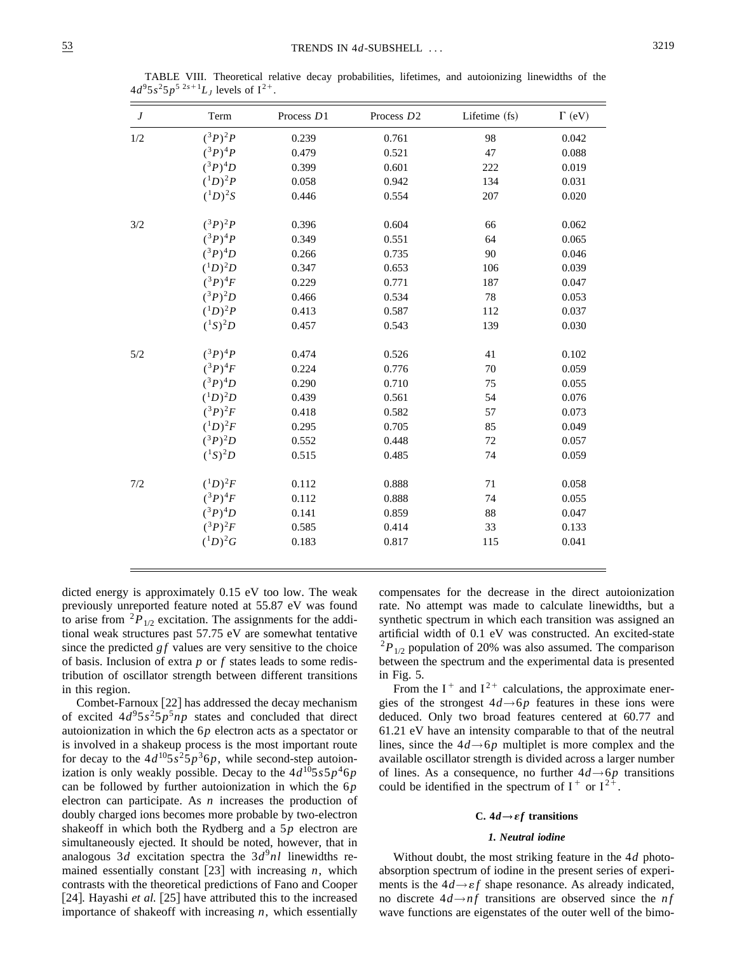| $\boldsymbol{J}$ | Term             | Process D1 | Process D <sub>2</sub> | Lifetime (fs) | $\Gamma$ (eV) |
|------------------|------------------|------------|------------------------|---------------|---------------|
| 1/2              | $({}^{3}P)^{2}P$ | 0.239      | 0.761                  | 98            | 0.042         |
|                  | $({}^{3}P)^{4}P$ | 0.479      | 0.521                  | 47            | 0.088         |
|                  | $({}^{3}P)^{4}D$ | 0.399      | 0.601                  | 222           | 0.019         |
|                  | $(^1D)^2P$       | 0.058      | 0.942                  | 134           | 0.031         |
|                  | $(^{1}D)^{2}S$   | 0.446      | 0.554                  | 207           | 0.020         |
| 3/2              | $({}^{3}P)^{2}P$ | 0.396      | 0.604                  | 66            | 0.062         |
|                  | $({}^3P)^4P$     | 0.349      | 0.551                  | 64            | 0.065         |
|                  | $({}^{3}P)^{4}D$ | 0.266      | 0.735                  | 90            | 0.046         |
|                  | $(^{1}D)^{2}D$   | 0.347      | 0.653                  | 106           | 0.039         |
|                  | $({}^3P)^4F$     | 0.229      | 0.771                  | 187           | 0.047         |
|                  | $({}^{3}P)^{2}D$ | 0.466      | 0.534                  | 78            | 0.053         |
|                  | $(^{1}D)^{2}P$   | 0.413      | 0.587                  | 112           | 0.037         |
|                  | $(^{1}S)^{2}D$   | 0.457      | 0.543                  | 139           | 0.030         |
| 5/2              | $({}^{3}P)^{4}P$ | 0.474      | 0.526                  | 41            | 0.102         |
|                  | $({}^3P)^4F$     | 0.224      | 0.776                  | 70            | 0.059         |
|                  | $({}^{3}P)^{4}D$ | 0.290      | 0.710                  | 75            | 0.055         |
|                  | $(^{1}D)^{2}D$   | 0.439      | 0.561                  | 54            | 0.076         |
|                  | $({}^3P)^2F$     | 0.418      | 0.582                  | 57            | 0.073         |
|                  | $(^{1}D)^{2}F$   | 0.295      | 0.705                  | 85            | 0.049         |
|                  | $({}^{3}P)^{2}D$ | 0.552      | 0.448                  | 72            | 0.057         |
|                  | $(^{1}S)^{2}D$   | 0.515      | 0.485                  | 74            | 0.059         |
| 7/2              | $(^{1}D)^{2}F$   | 0.112      | 0.888                  | 71            | 0.058         |
|                  | $({}^3P)^4F$     | 0.112      | 0.888                  | 74            | 0.055         |
|                  | $({}^{3}P)^{4}D$ | 0.141      | 0.859                  | 88            | 0.047         |
|                  | $({}^3P)^2F$     | 0.585      | 0.414                  | 33            | 0.133         |
|                  | $(^{1}D)^{2}G$   | 0.183      | 0.817                  | 115           | 0.041         |

TABLE VIII. Theoretical relative decay probabilities, lifetimes, and autoionizing linewidths of the  $4d^95s^25p^{52s+1}L_J$  levels of  $I^{2+}$ .

dicted energy is approximately 0.15 eV too low. The weak previously unreported feature noted at 55.87 eV was found to arise from  ${}^{2}P_{1/2}$  excitation. The assignments for the additional weak structures past 57.75 eV are somewhat tentative since the predicted  $gf$  values are very sensitive to the choice of basis. Inclusion of extra *p* or *f* states leads to some redistribution of oscillator strength between different transitions in this region.

Combet-Farnoux  $[22]$  has addressed the decay mechanism of excited  $4d^95s^25p^5np$  states and concluded that direct autoionization in which the 6*p* electron acts as a spectator or is involved in a shakeup process is the most important route for decay to the  $4d^{10}5s^25p^36p$ , while second-step autoionization is only weakly possible. Decay to the  $4d^{10}5s5p^46p$ can be followed by further autoionization in which the 6*p* electron can participate. As *n* increases the production of doubly charged ions becomes more probable by two-electron shakeoff in which both the Rydberg and a 5*p* electron are simultaneously ejected. It should be noted, however, that in analogous 3*d* excitation spectra the  $3d^9n$ *l* linewidths remained essentially constant  $[23]$  with increasing *n*, which contrasts with the theoretical predictions of Fano and Cooper [24]. Hayashi *et al.* [25] have attributed this to the increased importance of shakeoff with increasing *n*, which essentially compensates for the decrease in the direct autoionization rate. No attempt was made to calculate linewidths, but a synthetic spectrum in which each transition was assigned an artificial width of 0.1 eV was constructed. An excited-state  $^{2}P_{1/2}$  population of 20% was also assumed. The comparison between the spectrum and the experimental data is presented in Fig. 5.

From the  $I^+$  and  $I^{2+}$  calculations, the approximate energies of the strongest  $4d \rightarrow 6p$  features in these ions were deduced. Only two broad features centered at 60.77 and 61.21 eV have an intensity comparable to that of the neutral lines, since the  $4d \rightarrow 6p$  multiplet is more complex and the available oscillator strength is divided across a larger number of lines. As a consequence, no further  $4d \rightarrow 6p$  transitions could be identified in the spectrum of  $I^+$  or  $I^{2+}$ .

## C.  $4d \rightarrow \varepsilon f$  transitions

## *1. Neutral iodine*

Without doubt, the most striking feature in the 4*d* photoabsorption spectrum of iodine in the present series of experiments is the  $4d \rightarrow \varepsilon f$  shape resonance. As already indicated, no discrete  $4d \rightarrow nf$  transitions are observed since the *nf* wave functions are eigenstates of the outer well of the bimo-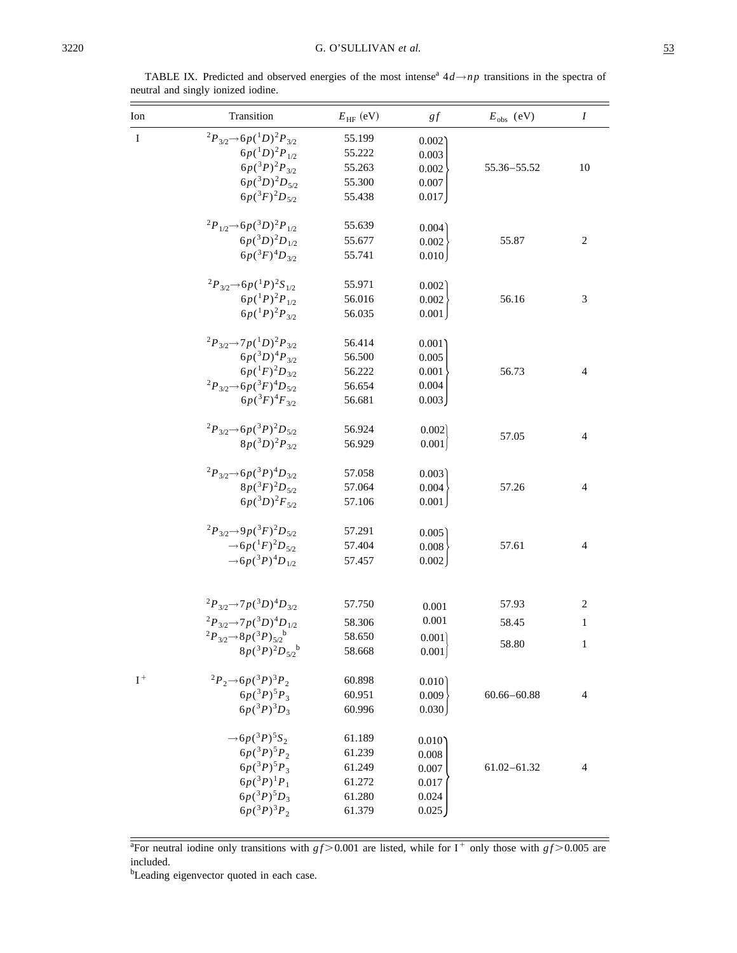| Ion         | Transition                                                      | $E_{\rm HF}$ (eV) | gf    | $E_{obs}$ (eV)  | $\boldsymbol{I}$ |
|-------------|-----------------------------------------------------------------|-------------------|-------|-----------------|------------------|
| $\mathbf I$ | $^{2}P_{3/2} \rightarrow 6p(^{1}D)^{2}P_{3/2}$                  | 55.199            | 0.002 |                 |                  |
|             | $6p(^1D)^2P_{1/2}$                                              | 55.222            | 0.003 |                 |                  |
|             | $6p({}^3P)^2P_{3/2}$                                            | 55.263            | 0.002 | 55.36-55.52     | 10               |
|             | $6p(^3D)^2D_{5/2}$                                              | 55.300            | 0.007 |                 |                  |
|             | $6p({}^3F)^2D_{5/2}$                                            | 55.438            | 0.017 |                 |                  |
|             | $^{2}P_{1/2}$ $\rightarrow$ 6p( $^{3}D)^{2}P_{1/2}$             | 55.639            | 0.004 |                 |                  |
|             | $6p(^3D)^2D_{1/2}$                                              | 55.677            | 0.002 | 55.87           | 2                |
|             | $6p({}^3F)^4D_{3/2}$                                            | 55.741            | 0.010 |                 |                  |
|             | ${}^{2}P_{3/2}$ $\rightarrow$ 6p( ${}^{1}P$ ) ${}^{2}S_{1/2}$   | 55.971            | 0.002 |                 |                  |
|             | $6p(^1P)^2P_{1/2}$                                              | 56.016            | 0.002 | 56.16           | 3                |
|             | $6p(^1P)^2P_{3/2}$                                              | 56.035            | 0.001 |                 |                  |
|             | ${}^{2}P_{3/2}$ $\rightarrow$ $7p({}^{1}D){}^{2}P_{3/2}$        | 56.414            | 0.001 |                 |                  |
|             | $6p(^3D)^4P_{3/2}$                                              | 56.500            | 0.005 |                 |                  |
|             | $6p(^1F)^2D_{3/2}$                                              | 56.222            | 0.001 | 56.73           | 4                |
|             | ${}^{2}P_{3/2}$ $\rightarrow$ 6p( ${}^{3}F$ ) ${}^{4}D_{5/2}$   | 56.654            | 0.004 |                 |                  |
|             | $6p({}^3F)^4F_{3/2}$                                            | 56.681            | 0.003 |                 |                  |
|             | $^{2}P_{3/2} \rightarrow 6p(^{3}P)^{2}D_{5/2}$                  | 56.924            | 0.002 |                 |                  |
|             | $8p(^3D)^2P_{3/2}$                                              | 56.929            | 0.001 | 57.05           | 4                |
|             | ${}^{2}P_{3/2}$ $\rightarrow$ 6p( ${}^{3}P$ ) ${}^{4}D_{3/2}$   | 57.058            | 0.003 |                 |                  |
|             | $8p(^{3}F)^{2}D_{5/2}$                                          | 57.064            | 0.004 | 57.26           | 4                |
|             | $6p(^3D)^2F_{5/2}$                                              | 57.106            | 0.001 |                 |                  |
|             | ${}^{2}P_{3/2} \rightarrow 9p({}^{3}F){}^{2}D_{5/2}$            | 57.291            | 0.005 |                 |                  |
|             | $\rightarrow$ 6p( ${}^1F$ ) <sup>2</sup> D <sub>5/2</sub>       | 57.404            | 0.008 | 57.61           | 4                |
|             | $\rightarrow$ 6p( <sup>3</sup> P) <sup>4</sup> D <sub>1/2</sub> | 57.457            | 0.002 |                 |                  |
|             | ${}^{2}P_{3/2}$ $\rightarrow$ $7p({}^{3}D){}^{4}D_{3/2}$        | 57.750            | 0.001 | 57.93           | 2                |
|             | ${}^{2}P_{3/2}$ $\rightarrow$ $7p({}^{3}D){}^{4}D_{1/2}$        |                   | 0.001 | 58.45           |                  |
|             |                                                                 | 58.306            |       |                 | 1                |
|             | $^{2}P_{3/2} \rightarrow 8p(^{3}P)_{5/2}^{b}$                   | 58.650            | 0.001 | 58.80           | $\mathbf{1}$     |
|             | $8p(^3P)^2D_{5/2}$                                              | 58.668            | 0.001 |                 |                  |
| $I^+$       | ${}^{2}P_{2} \rightarrow 6p({}^{3}P){}^{3}P_{2}$                | 60.898            | 0.010 |                 |                  |
|             | $6p(^{3}P)^{5}P_{3}$                                            | 60.951            | 0.009 | $60.66 - 60.88$ | 4                |
|             | $6p(^{3}P)^{3}D_{3}$                                            | 60.996            | 0.030 |                 |                  |
|             | $\rightarrow$ 6p( <sup>3</sup> P) <sup>5</sup> S <sub>2</sub>   | 61.189            | 0.010 |                 |                  |
|             | $6p(^{3}P)^{5}P_{2}$                                            | 61.239            | 0.008 |                 |                  |
|             | $6p(^{3}P)^{5}P_{3}$                                            | 61.249            | 0.007 | $61.02 - 61.32$ | 4                |
|             | $6p(^3P)^1P_1$                                                  | 61.272            | 0.017 |                 |                  |
|             | $6p(^3P)^5D_3$                                                  | 61.280            | 0.024 |                 |                  |
|             | $6p(^{3}P)^{3}P_2$                                              | 61.379            | 0.025 |                 |                  |

TABLE IX. Predicted and observed energies of the most intense<sup>a</sup>  $4d \rightarrow np$  transitions in the spectra of neutral and singly ionized iodine.

<sup>b</sup>Leading eigenvector quoted in each case.

<sup>&</sup>lt;sup>a</sup>For neutral iodine only transitions with  $gf > 0.001$  are listed, while for I<sup>+</sup> only those with  $gf > 0.005$  are included.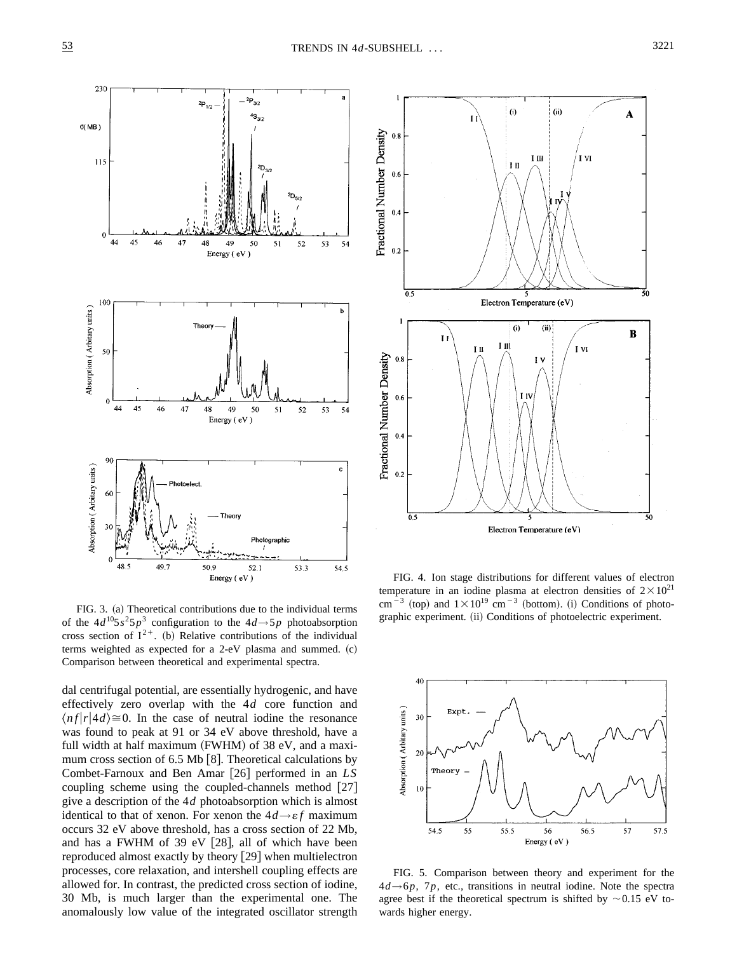

FIG. 3. (a) Theoretical contributions due to the individual terms of the  $4d^{10}5s^25p^3$  configuration to the  $4d \rightarrow 5p$  photoabsorption cross section of  $I^{2+}$ . (b) Relative contributions of the individual terms weighted as expected for a 2-eV plasma and summed.  $(c)$ Comparison between theoretical and experimental spectra.

dal centrifugal potential, are essentially hydrogenic, and have effectively zero overlap with the 4*d* core function and  $\langle nf|r|4d\rangle \cong 0$ . In the case of neutral iodine the resonance was found to peak at 91 or 34 eV above threshold, have a full width at half maximum  $(FWHM)$  of 38 eV, and a maximum cross section of  $6.5$  Mb  $[8]$ . Theoretical calculations by Combet-Farnoux and Ben Amar [26] performed in an *LS* coupling scheme using the coupled-channels method  $[27]$ give a description of the 4*d* photoabsorption which is almost identical to that of xenon. For xenon the  $4d \rightarrow \varepsilon f$  maximum occurs 32 eV above threshold, has a cross section of 22 Mb, and has a FWHM of 39 eV  $[28]$ , all of which have been reproduced almost exactly by theory  $\left|29\right|$  when multielectron processes, core relaxation, and intershell coupling effects are allowed for. In contrast, the predicted cross section of iodine, 30 Mb, is much larger than the experimental one. The anomalously low value of the integrated oscillator strength



FIG. 4. Ion stage distributions for different values of electron temperature in an iodine plasma at electron densities of  $2 \times 10^{21}$ cm<sup>-3</sup> (top) and  $1\times10^{19}$  cm<sup>-3</sup> (bottom). (i) Conditions of photographic experiment. (ii) Conditions of photoelectric experiment.



FIG. 5. Comparison between theory and experiment for the  $4d \rightarrow 6p$ , 7*p*, etc., transitions in neutral iodine. Note the spectra agree best if the theoretical spectrum is shifted by  $\sim 0.15$  eV towards higher energy.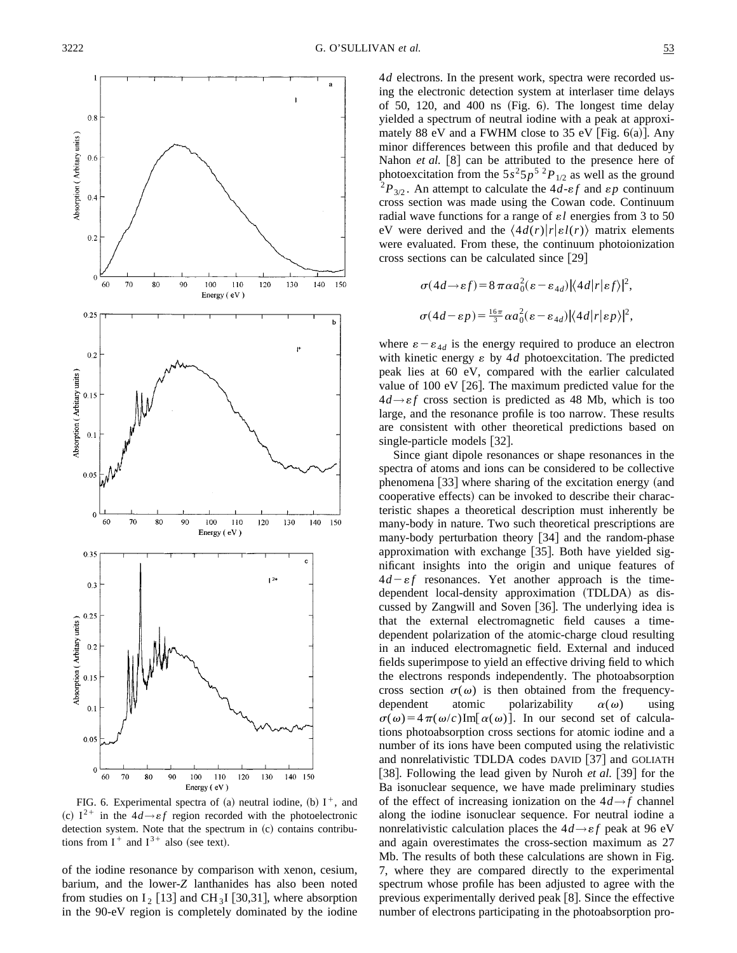

FIG. 6. Experimental spectra of (a) neutral iodine, (b)  $I^+$ , and (c)  $I^{2+}$  in the  $4d \rightarrow \varepsilon f$  region recorded with the photoelectronic detection system. Note that the spectrum in (c) contains contributions from  $I^+$  and  $I^{3+}$  also (see text).

of the iodine resonance by comparison with xenon, cesium, barium, and the lower-*Z* lanthanides has also been noted from studies on  $I_2$  [13] and CH<sub>3</sub>I [30,31], where absorption in the 90-eV region is completely dominated by the iodine 4*d* electrons. In the present work, spectra were recorded using the electronic detection system at interlaser time delays of 50, 120, and 400 ns (Fig.  $6$ ). The longest time delay yielded a spectrum of neutral iodine with a peak at approximately 88 eV and a FWHM close to 35 eV [Fig.  $6(a)$ ]. Any minor differences between this profile and that deduced by Nahon *et al.* [8] can be attributed to the presence here of photoexcitation from the  $5s^25p^5{}^2P_{1/2}$  as well as the ground <sup>2</sup> $P_{3/2}$ . An attempt to calculate the 4*d*- $\epsilon f$  and  $\epsilon p$  continuum cross section was made using the Cowan code. Continuum radial wave functions for a range of  $\varepsilon l$  energies from 3 to 50 eV were derived and the  $\langle 4d(r)|r|\varepsilon l(r)\rangle$  matrix elements were evaluated. From these, the continuum photoionization cross sections can be calculated since  $[29]$ 

$$
\sigma(4d \rightarrow \varepsilon f) = 8 \pi \alpha a_0^2 (\varepsilon - \varepsilon_{4d}) |\langle 4d | r | \varepsilon f \rangle|^2,
$$
  

$$
\sigma(4d - \varepsilon p) = \frac{16\pi}{3} \alpha a_0^2 (\varepsilon - \varepsilon_{4d}) |\langle 4d | r | \varepsilon p \rangle|^2,
$$

where  $\varepsilon - \varepsilon_{4d}$  is the energy required to produce an electron with kinetic energy  $\varepsilon$  by 4*d* photoexcitation. The predicted peak lies at 60 eV, compared with the earlier calculated value of 100 eV  $[26]$ . The maximum predicted value for the  $4d \rightarrow \varepsilon f$  cross section is predicted as 48 Mb, which is too large, and the resonance profile is too narrow. These results are consistent with other theoretical predictions based on single-particle models  $[32]$ .

Since giant dipole resonances or shape resonances in the spectra of atoms and ions can be considered to be collective phenomena  $[33]$  where sharing of the excitation energy (and cooperative effects) can be invoked to describe their characteristic shapes a theoretical description must inherently be many-body in nature. Two such theoretical prescriptions are many-body perturbation theory  $[34]$  and the random-phase approximation with exchange  $[35]$ . Both have yielded significant insights into the origin and unique features of  $4d - \varepsilon f$  resonances. Yet another approach is the timedependent local-density approximation (TDLDA) as discussed by Zangwill and Soven [36]. The underlying idea is that the external electromagnetic field causes a timedependent polarization of the atomic-charge cloud resulting in an induced electromagnetic field. External and induced fields superimpose to yield an effective driving field to which the electrons responds independently. The photoabsorption cross section  $\sigma(\omega)$  is then obtained from the frequencydependent atomic polarizability  $\alpha(\omega)$  using  $\sigma(\omega) = 4\pi(\omega/c)$ Im[ $\alpha(\omega)$ ]. In our second set of calculations photoabsorption cross sections for atomic iodine and a number of its ions have been computed using the relativistic and nonrelativistic TDLDA codes DAVID  $[37]$  and GOLIATH [38]. Following the lead given by Nuroh *et al.* [39] for the Ba isonuclear sequence, we have made preliminary studies of the effect of increasing ionization on the  $4d \rightarrow f$  channel along the iodine isonuclear sequence. For neutral iodine a nonrelativistic calculation places the  $4d \rightarrow \varepsilon f$  peak at 96 eV and again overestimates the cross-section maximum as 27 Mb. The results of both these calculations are shown in Fig. 7, where they are compared directly to the experimental spectrum whose profile has been adjusted to agree with the previous experimentally derived peak  $[8]$ . Since the effective number of electrons participating in the photoabsorption pro-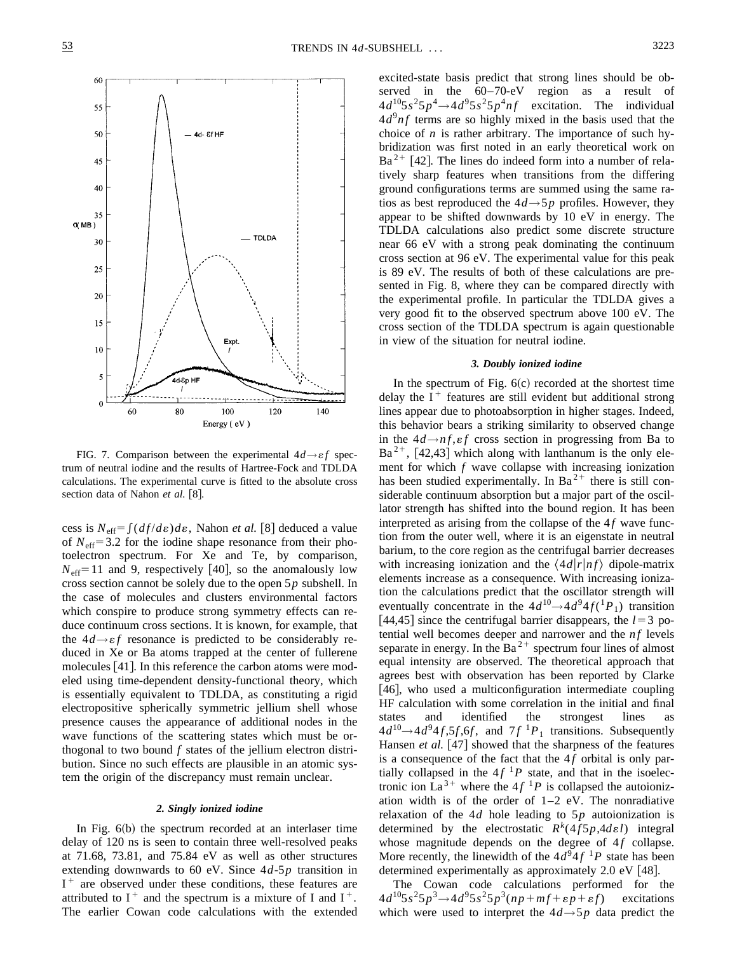

FIG. 7. Comparison between the experimental  $4d \rightarrow \varepsilon f$  spectrum of neutral iodine and the results of Hartree-Fock and TDLDA calculations. The experimental curve is fitted to the absolute cross section data of Nahon et al. [8].

cess is  $N_{\text{eff}} = \int (df/d\varepsilon) d\varepsilon$ , Nahon *et al.* [8] deduced a value of  $N_{\text{eff}}$ =3.2 for the iodine shape resonance from their photoelectron spectrum. For Xe and Te, by comparison,  $N_{\text{eff}}$ =11 and 9, respectively [40], so the anomalously low cross section cannot be solely due to the open 5*p* subshell. In the case of molecules and clusters environmental factors which conspire to produce strong symmetry effects can reduce continuum cross sections. It is known, for example, that the  $4d \rightarrow \varepsilon f$  resonance is predicted to be considerably reduced in Xe or Ba atoms trapped at the center of fullerene molecules  $[41]$ . In this reference the carbon atoms were modeled using time-dependent density-functional theory, which is essentially equivalent to TDLDA, as constituting a rigid electropositive spherically symmetric jellium shell whose presence causes the appearance of additional nodes in the wave functions of the scattering states which must be orthogonal to two bound *f* states of the jellium electron distribution. Since no such effects are plausible in an atomic system the origin of the discrepancy must remain unclear.

#### *2. Singly ionized iodine*

In Fig.  $6(b)$  the spectrum recorded at an interlaser time delay of 120 ns is seen to contain three well-resolved peaks at 71.68, 73.81, and 75.84 eV as well as other structures extending downwards to 60 eV. Since 4*d*-5*p* transition in  $I^+$  are observed under these conditions, these features are attributed to  $I^+$  and the spectrum is a mixture of I and  $I^+$ . The earlier Cowan code calculations with the extended excited-state basis predict that strong lines should be observed in the 60–70-eV region as a result of  $4d^{10}5s^25p^4 \rightarrow 4d^95s^25p^4nf$  excitation. The individual  $4d<sup>9</sup>nf$  terms are so highly mixed in the basis used that the choice of *n* is rather arbitrary. The importance of such hybridization was first noted in an early theoretical work on  $Ba^{2+}$  [42]. The lines do indeed form into a number of relatively sharp features when transitions from the differing ground configurations terms are summed using the same ratios as best reproduced the  $4d \rightarrow 5p$  profiles. However, they appear to be shifted downwards by 10 eV in energy. The TDLDA calculations also predict some discrete structure near 66 eV with a strong peak dominating the continuum cross section at 96 eV. The experimental value for this peak is 89 eV. The results of both of these calculations are presented in Fig. 8, where they can be compared directly with the experimental profile. In particular the TDLDA gives a very good fit to the observed spectrum above 100 eV. The cross section of the TDLDA spectrum is again questionable in view of the situation for neutral iodine.

## *3. Doubly ionized iodine*

In the spectrum of Fig.  $6(c)$  recorded at the shortest time delay the  $I^+$  features are still evident but additional strong lines appear due to photoabsorption in higher stages. Indeed, this behavior bears a striking similarity to observed change in the  $4d \rightarrow nf$ ,  $\epsilon f$  cross section in progressing from Ba to  $Ba^{2+}$ , [42,43] which along with lanthanum is the only element for which *f* wave collapse with increasing ionization has been studied experimentally. In Ba<sup>2+</sup> there is still considerable continuum absorption but a major part of the oscillator strength has shifted into the bound region. It has been interpreted as arising from the collapse of the  $4f$  wave function from the outer well, where it is an eigenstate in neutral barium, to the core region as the centrifugal barrier decreases with increasing ionization and the  $\langle 4d|r|nf\rangle$  dipole-matrix elements increase as a consequence. With increasing ionization the calculations predict that the oscillator strength will eventually concentrate in the  $4d^{10}\rightarrow 4d^94f(^{1}P_1)$  transition [44,45] since the centrifugal barrier disappears, the  $l=3$  potential well becomes deeper and narrower and the *nf* levels separate in energy. In the  $Ba^{2+}$  spectrum four lines of almost equal intensity are observed. The theoretical approach that agrees best with observation has been reported by Clarke  $[46]$ , who used a multiconfiguration intermediate coupling HF calculation with some correlation in the initial and final states and identified the strongest lines as  $4d^{10}\rightarrow 4d^94f, 5f, 6f$ , and  $7f^{1}P_1$  transitions. Subsequently Hansen *et al.* [47] showed that the sharpness of the features is a consequence of the fact that the  $4f$  orbital is only partially collapsed in the  $4f<sup>1</sup>P$  state, and that in the isoelectronic ion La<sup>3+</sup> where the 4 $f<sup>1</sup>P$  is collapsed the autoionization width is of the order of 1–2 eV. The nonradiative relaxation of the 4*d* hole leading to 5*p* autoionization is determined by the electrostatic  $R^k(4f5p, 4de1)$  integral whose magnitude depends on the degree of 4f collapse. More recently, the linewidth of the  $4d^9 4f^1 P$  state has been determined experimentally as approximately  $2.0 \text{ eV}$  [48].

The Cowan code calculations performed for the  $4d^{10}5s^25p^3 \rightarrow 4d^95s^25p^3(np+mf+ \epsilon p+\epsilon f)$  excitations which were used to interpret the  $4d \rightarrow 5p$  data predict the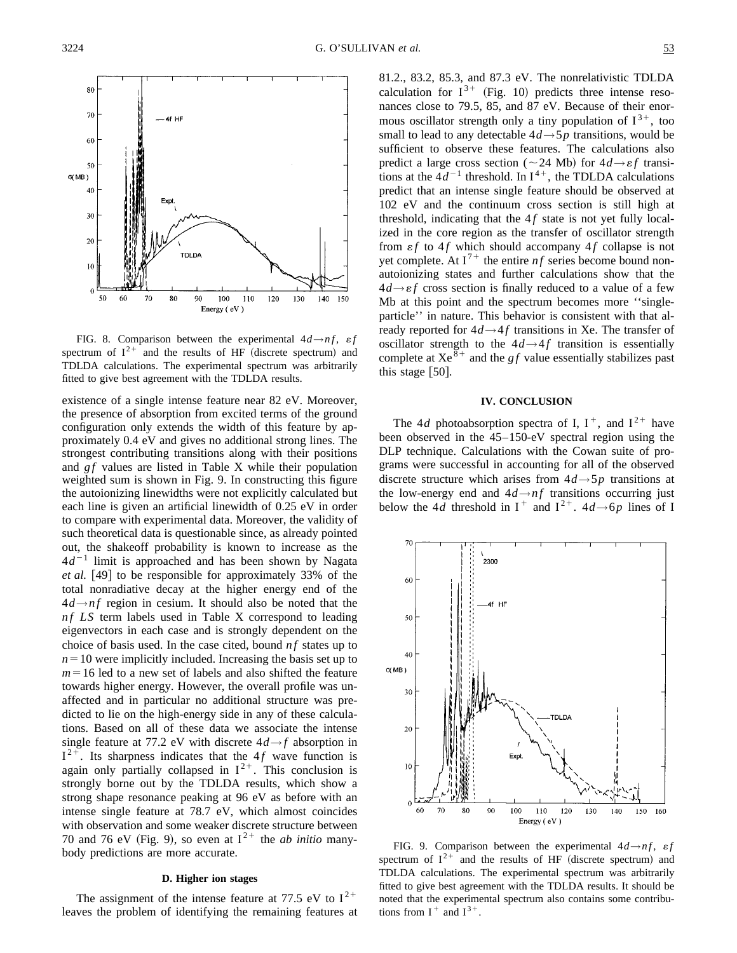

FIG. 8. Comparison between the experimental  $4d \rightarrow nf$ ,  $\epsilon f$ spectrum of  $I^{2+}$  and the results of HF (discrete spectrum) and TDLDA calculations. The experimental spectrum was arbitrarily fitted to give best agreement with the TDLDA results.

existence of a single intense feature near 82 eV. Moreover, the presence of absorption from excited terms of the ground configuration only extends the width of this feature by approximately 0.4 eV and gives no additional strong lines. The strongest contributing transitions along with their positions and *g f* values are listed in Table X while their population weighted sum is shown in Fig. 9. In constructing this figure the autoionizing linewidths were not explicitly calculated but each line is given an artificial linewidth of 0.25 eV in order to compare with experimental data. Moreover, the validity of such theoretical data is questionable since, as already pointed out, the shakeoff probability is known to increase as the  $4d^{-1}$  limit is approached and has been shown by Nagata *et al.* [49] to be responsible for approximately 33% of the total nonradiative decay at the higher energy end of the  $4d \rightarrow nf$  region in cesium. It should also be noted that the *nf LS* term labels used in Table X correspond to leading eigenvectors in each case and is strongly dependent on the choice of basis used. In the case cited, bound *n f* states up to  $n=10$  were implicitly included. Increasing the basis set up to  $m=16$  led to a new set of labels and also shifted the feature towards higher energy. However, the overall profile was unaffected and in particular no additional structure was predicted to lie on the high-energy side in any of these calculations. Based on all of these data we associate the intense single feature at 77.2 eV with discrete  $4d \rightarrow f$  absorption in  $I^{2+}$ . Its sharpness indicates that the 4*f* wave function is again only partially collapsed in  $I^{2+}$ . This conclusion is strongly borne out by the TDLDA results, which show a strong shape resonance peaking at 96 eV as before with an intense single feature at 78.7 eV, which almost coincides with observation and some weaker discrete structure between 70 and 76 eV (Fig. 9), so even at  $I^{2+}$  the *ab initio* manybody predictions are more accurate.

# **D. Higher ion stages**

The assignment of the intense feature at 77.5 eV to  $I^{2+}$ leaves the problem of identifying the remaining features at 81.2., 83.2, 85.3, and 87.3 eV. The nonrelativistic TDLDA calculation for  $I^{3+}$  (Fig. 10) predicts three intense resonances close to 79.5, 85, and 87 eV. Because of their enormous oscillator strength only a tiny population of  $I^{3+}$ , too small to lead to any detectable  $4d \rightarrow 5p$  transitions, would be sufficient to observe these features. The calculations also predict a large cross section ( $\sim$ 24 Mb) for  $4d \rightarrow \varepsilon f$  transitions at the  $4d^{-1}$  threshold. In  $I^{4+}$ , the TDLDA calculations predict that an intense single feature should be observed at 102 eV and the continuum cross section is still high at threshold, indicating that the  $4f$  state is not yet fully localized in the core region as the transfer of oscillator strength from  $\epsilon f$  to 4f which should accompany 4f collapse is not yet complete. At  $I^{7+}$  the entire *nf* series become bound nonautoionizing states and further calculations show that the  $4d \rightarrow \varepsilon f$  cross section is finally reduced to a value of a few Mb at this point and the spectrum becomes more ''singleparticle'' in nature. This behavior is consistent with that already reported for  $4d \rightarrow 4f$  transitions in Xe. The transfer of oscillator strength to the  $4d \rightarrow 4f$  transition is essentially complete at  $Xe^{\delta^+}$  and the *gf* value essentially stabilizes past this stage  $[50]$ .

## **IV. CONCLUSION**

The 4*d* photoabsorption spectra of I,  $I^+$ , and  $I^{2+}$  have been observed in the 45–150-eV spectral region using the DLP technique. Calculations with the Cowan suite of programs were successful in accounting for all of the observed discrete structure which arises from 4*d*→5*p* transitions at the low-energy end and  $4d \rightarrow nf$  transitions occurring just below the 4*d* threshold in  $I^+$  and  $I^{2+}$ . 4*d*→6*p* lines of I



FIG. 9. Comparison between the experimental  $4d \rightarrow nf$ ,  $\epsilon f$ spectrum of  $I^{2+}$  and the results of HF (discrete spectrum) and TDLDA calculations. The experimental spectrum was arbitrarily fitted to give best agreement with the TDLDA results. It should be noted that the experimental spectrum also contains some contributions from  $I^+$  and  $I^{3+}$ .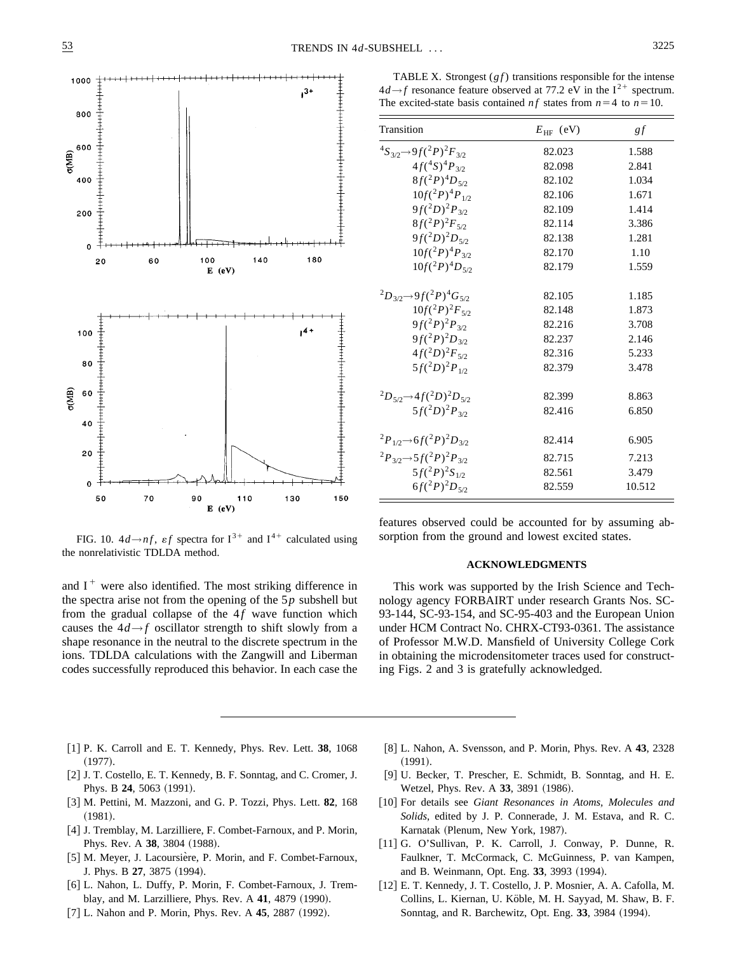

FIG. 10.  $4d \rightarrow nf$ ,  $\epsilon f$  spectra for  $I^{3+}$  and  $I^{4+}$  calculated using the nonrelativistic TDLDA method.

and  $I^+$  were also identified. The most striking difference in the spectra arise not from the opening of the 5*p* subshell but from the gradual collapse of the  $4f$  wave function which causes the  $4d \rightarrow f$  oscillator strength to shift slowly from a shape resonance in the neutral to the discrete spectrum in the ions. TDLDA calculations with the Zangwill and Liberman codes successfully reproduced this behavior. In each case the

TABLE X. Strongest  $(gf)$  transitions responsible for the intense  $4d \rightarrow f$  resonance feature observed at 77.2 eV in the  $I^{2+}$  spectrum. The excited-state basis contained *nf* states from  $n=4$  to  $n=10$ .

| Transition                                                    | $E_{HF}$ (eV) | gf     |
|---------------------------------------------------------------|---------------|--------|
| ${}^4S_{3/2} \rightarrow 9f({}^2P){}^2F_{3/2}$                | 82.023        | 1.588  |
| $4f(^{4}S)^{4}P_{3/2}$                                        | 82.098        | 2.841  |
| $8f(^2P)^4D_{5/2}$                                            | 82.102        | 1.034  |
| $10f(^2P)^4P_{1/2}$                                           | 82.106        | 1.671  |
| $9f(^{2}D)^{2}P_{3/2}$                                        | 82.109        | 1.414  |
| $8f(^{2}P)^{2}F_{5/2}$                                        | 82.114        | 3.386  |
| $9f(^{2}D)^{2}D_{5/2}$                                        | 82.138        | 1.281  |
| $10f(^2P)^4P_{3/2}$                                           | 82.170        | 1.10   |
| $10f(^2P)^4D_{5/2}$                                           | 82.179        | 1.559  |
| ${}^{2}D_{3/2} \rightarrow 9f({}^{2}P)^{4}G_{5/2}$            | 82.105        | 1.185  |
| $10f(^2P)^2F_{5/2}$                                           | 82.148        | 1.873  |
| $9f(^{2}P)^{2}P_{3/2}$                                        | 82.216        | 3.708  |
| $9f(^{2}P)^{2}D_{3/2}$                                        | 82.237        | 2.146  |
| $4f(^{2}D)^{2}F_{5/2}$                                        | 82.316        | 5.233  |
| $5f(^{2}D)^{2}P_{1/2}$                                        | 82.379        | 3.478  |
| ${}^{2}D_{52}\rightarrow 4f({}^{2}D){}^{2}D_{52}$             | 82.399        | 8.863  |
| $5f(^{2}D)^{2}P_{3/2}$                                        | 82.416        | 6.850  |
| ${}^{2}P_{1/2}$ $\rightarrow$ 6f( ${}^{2}P$ ) ${}^{2}D_{3/2}$ | 82.414        | 6.905  |
| $^{2}P_{3/2} \rightarrow 5f(^{2}P)^{2}P_{3/2}$                | 82.715        | 7.213  |
| $5f(^{2}P)^{2}S_{1/2}$                                        | 82.561        | 3.479  |
| $6f(^{2}P)^{2}D_{5/2}$                                        | 82.559        | 10.512 |

features observed could be accounted for by assuming absorption from the ground and lowest excited states.

#### **ACKNOWLEDGMENTS**

This work was supported by the Irish Science and Technology agency FORBAIRT under research Grants Nos. SC-93-144, SC-93-154, and SC-95-403 and the European Union under HCM Contract No. CHRX-CT93-0361. The assistance of Professor M.W.D. Mansfield of University College Cork in obtaining the microdensitometer traces used for constructing Figs. 2 and 3 is gratefully acknowledged.

- [1] P. K. Carroll and E. T. Kennedy, Phys. Rev. Lett. 38, 1068  $(1977).$
- [2] J. T. Costello, E. T. Kennedy, B. F. Sonntag, and C. Cromer, J. Phys. B 24, 5063 (1991).
- [3] M. Pettini, M. Mazzoni, and G. P. Tozzi, Phys. Lett. **82**, 168  $(1981).$
- [4] J. Tremblay, M. Larzilliere, F. Combet-Farnoux, and P. Morin, Phys. Rev. A 38, 3804 (1988).
- [5] M. Meyer, J. Lacoursière, P. Morin, and F. Combet-Farnoux, J. Phys. B 27, 3875 (1994).
- [6] L. Nahon, L. Duffy, P. Morin, F. Combet-Farnoux, J. Tremblay, and M. Larzilliere, Phys. Rev. A 41, 4879 (1990).
- [7] L. Nahon and P. Morin, Phys. Rev. A 45, 2887 (1992).
- @8# L. Nahon, A. Svensson, and P. Morin, Phys. Rev. A **43**, 2328  $(1991).$
- [9] U. Becker, T. Prescher, E. Schmidt, B. Sonntag, and H. E. Wetzel, Phys. Rev. A 33, 3891 (1986).
- [10] For details see *Giant Resonances in Atoms, Molecules and Solids*, edited by J. P. Connerade, J. M. Estava, and R. C. Karnatak (Plenum, New York, 1987).
- [11] G. O'Sullivan, P. K. Carroll, J. Conway, P. Dunne, R. Faulkner, T. McCormack, C. McGuinness, P. van Kampen, and B. Weinmann, Opt. Eng. 33, 3993 (1994).
- [12] E. T. Kennedy, J. T. Costello, J. P. Mosnier, A. A. Cafolla, M. Collins, L. Kiernan, U. Köble, M. H. Sayyad, M. Shaw, B. F. Sonntag, and R. Barchewitz, Opt. Eng. 33, 3984 (1994).